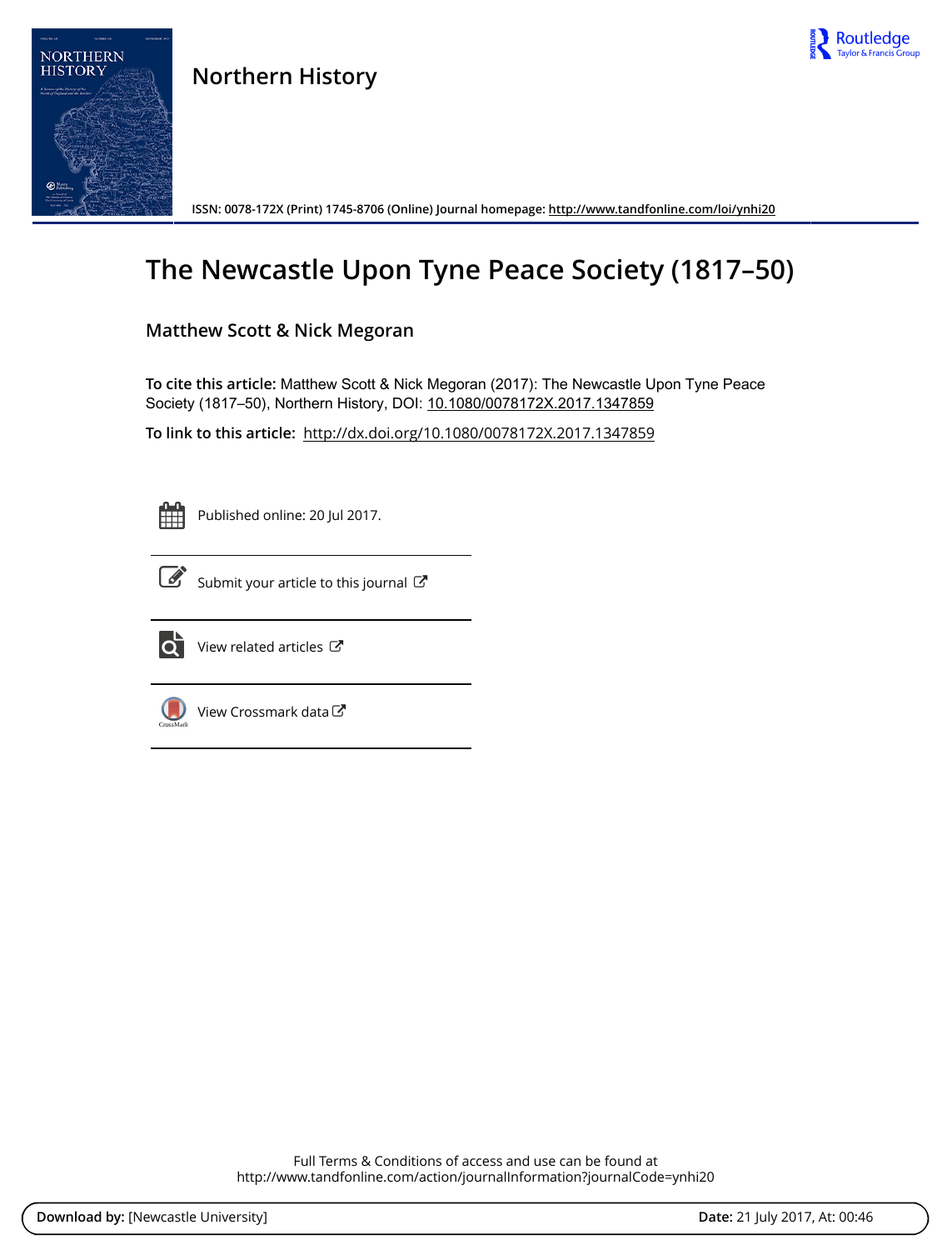

**Northern History**



**ISSN: 0078-172X (Print) 1745-8706 (Online) Journal homepage: <http://www.tandfonline.com/loi/ynhi20>**

# **The Newcastle Upon Tyne Peace Society (1817–50)**

## **Matthew Scott & Nick Megoran**

**To cite this article:** Matthew Scott & Nick Megoran (2017): The Newcastle Upon Tyne Peace Society (1817–50), Northern History, DOI: [10.1080/0078172X.2017.1347859](http://www.tandfonline.com/action/showCitFormats?doi=10.1080/0078172X.2017.1347859)

**To link to this article:** <http://dx.doi.org/10.1080/0078172X.2017.1347859>



Published online: 20 Jul 2017.



 $\overrightarrow{S}$  [Submit your article to this journal](http://www.tandfonline.com/action/authorSubmission?journalCode=ynhi20&show=instructions)  $\overrightarrow{S}$ 



 $\overrightarrow{Q}$  [View related articles](http://www.tandfonline.com/doi/mlt/10.1080/0078172X.2017.1347859)  $\overrightarrow{C}$ 



[View Crossmark data](http://crossmark.crossref.org/dialog/?doi=10.1080/0078172X.2017.1347859&domain=pdf&date_stamp=2017-07-20)

Full Terms & Conditions of access and use can be found at <http://www.tandfonline.com/action/journalInformation?journalCode=ynhi20>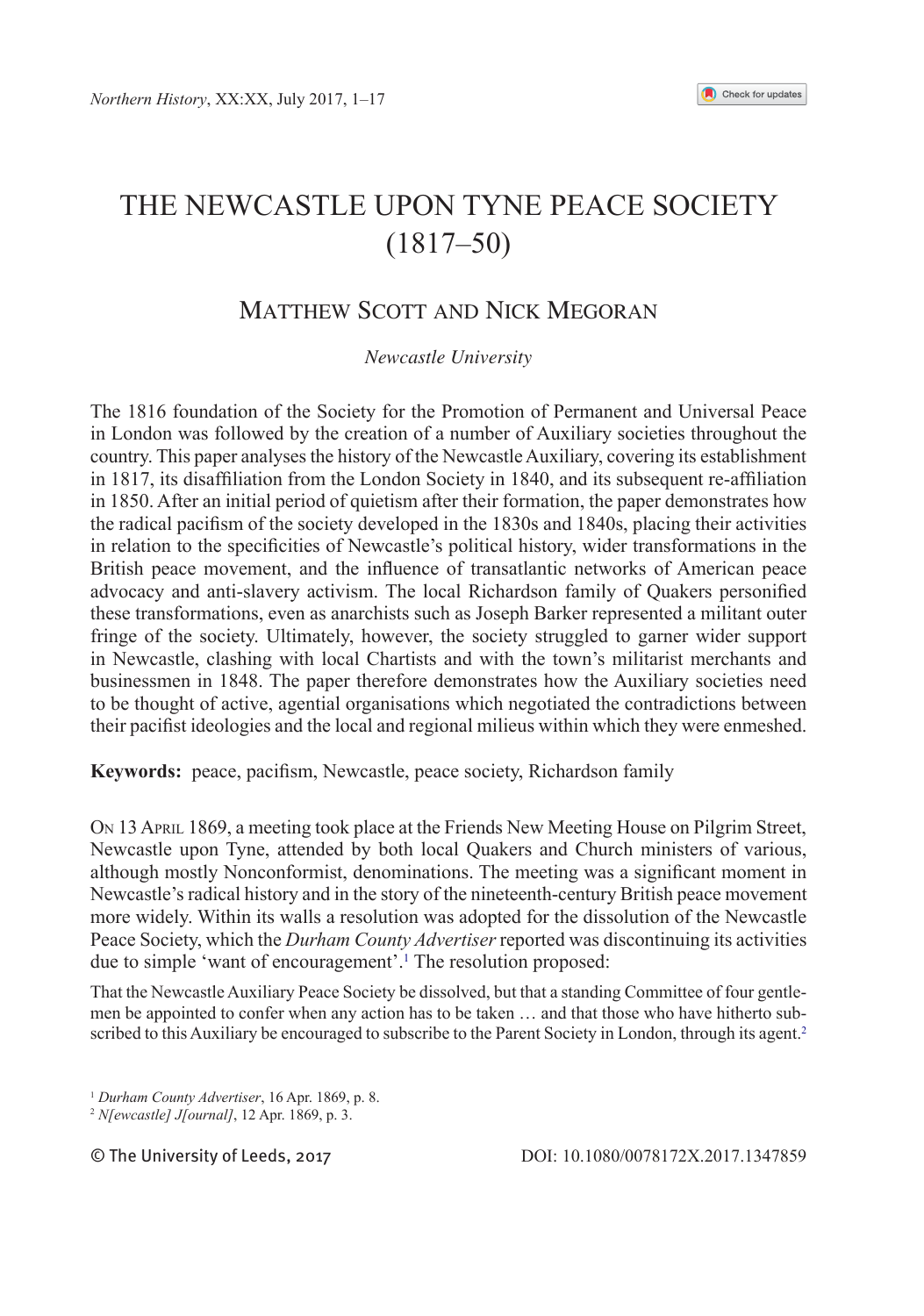## THE NEWCASTLE UPON TYNE PEACE SOCIETY (1817–50)

### MATTHEW SCOTT AND NICK MEGORAN

*Newcastle University*

The 1816 foundation of the Society for the Promotion of Permanent and Universal Peace in London was followed by the creation of a number of Auxiliary societies throughout the country. This paper analyses the history of the Newcastle Auxiliary, covering its establishment in 1817, its disaffiliation from the London Society in 1840, and its subsequent re-affiliation in 1850. After an initial period of quietism after their formation, the paper demonstrates how the radical pacifism of the society developed in the 1830s and 1840s, placing their activities in relation to the specificities of Newcastle's political history, wider transformations in the British peace movement, and the influence of transatlantic networks of American peace advocacy and anti-slavery activism. The local Richardson family of Quakers personified these transformations, even as anarchists such as Joseph Barker represented a militant outer fringe of the society. Ultimately, however, the society struggled to garner wider support in Newcastle, clashing with local Chartists and with the town's militarist merchants and businessmen in 1848. The paper therefore demonstrates how the Auxiliary societies need to be thought of active, agential organisations which negotiated the contradictions between their pacifist ideologies and the local and regional milieus within which they were enmeshed.

**Keywords:** peace, pacifism, Newcastle, peace society, Richardson family

On 13 April 1869, a meeting took place at the Friends New Meeting House on Pilgrim Street, Newcastle upon Tyne, attended by both local Quakers and Church ministers of various, although mostly Nonconformist, denominations. The meeting was a significant moment in Newcastle's radical history and in the story of the nineteenth-century British peace movement more widely. Within its walls a resolution was adopted for the dissolution of the Newcastle Peace Society, which the *Durham County Advertiser* reported was discontinuing its activities due to simple 'want of encouragement'.<sup>[1](#page-1-0)</sup> The resolution proposed:

That the Newcastle Auxiliary Peace Society be dissolved, but that a standing Committee of four gentlemen be appointed to confer when any action has to be taken … and that those who have hitherto subscribed to this Auxiliary be encouraged to subscribe to the Parent Society in London, through its agent.<sup>2</sup>

<span id="page-1-0"></span><sup>1</sup> *Durham County Advertiser*, 16 Apr. 1869, p. 8.

<span id="page-1-1"></span><sup>2</sup> *N[ewcastle] J[ournal]*, 12 Apr. 1869, p. 3.

© The University of Leeds, 2017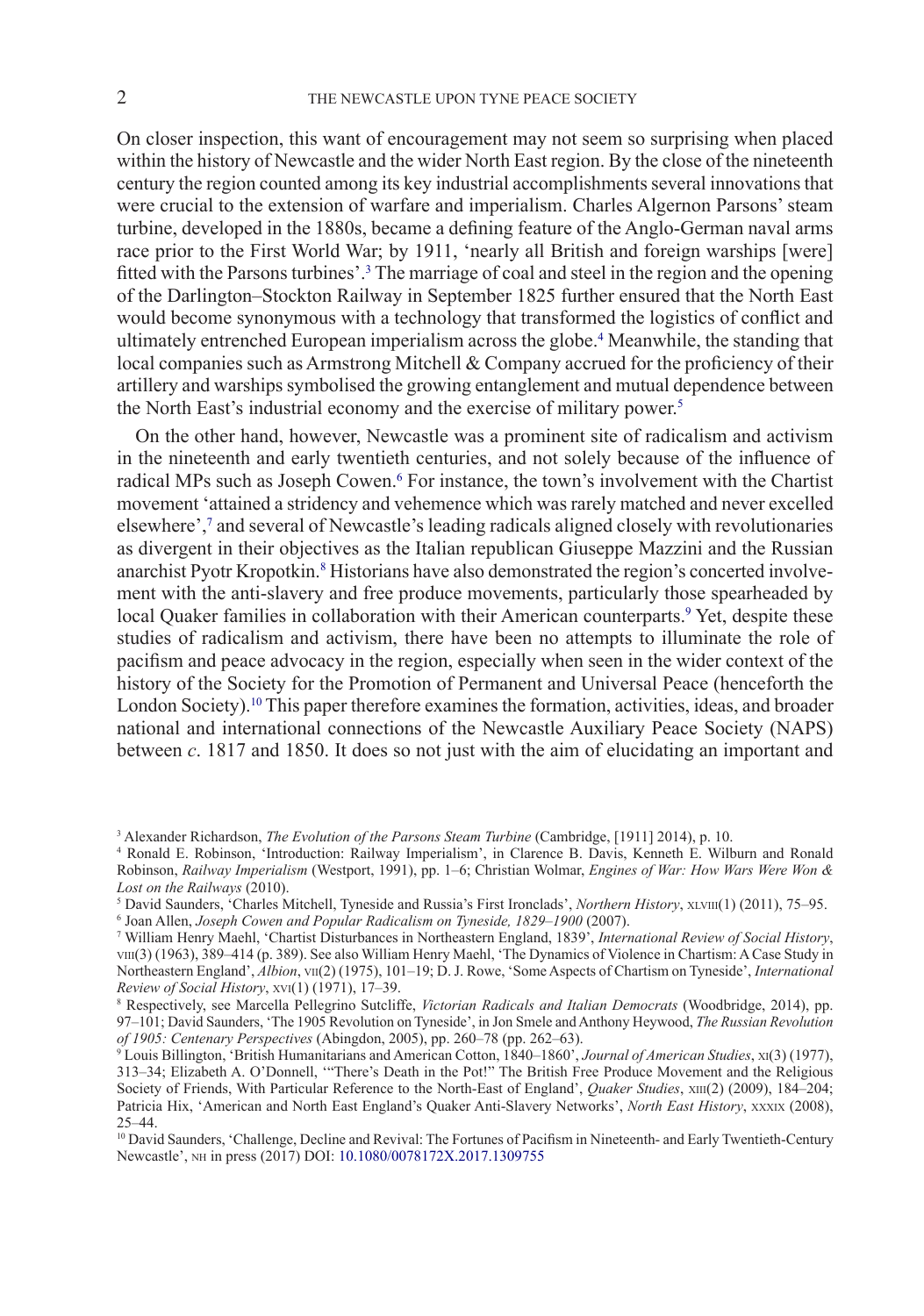On closer inspection, this want of encouragement may not seem so surprising when placed within the history of Newcastle and the wider North East region. By the close of the nineteenth century the region counted among its key industrial accomplishments several innovations that were crucial to the extension of warfare and imperialism. Charles Algernon Parsons' steam turbine, developed in the 1880s, became a defining feature of the Anglo-German naval arms race prior to the First World War; by 1911, 'nearly all British and foreign warships [were] fitted with the Parsons turbines'.[3](#page-2-0) The marriage of coal and steel in the region and the opening of the Darlington–Stockton Railway in September 1825 further ensured that the North East would become synonymous with a technology that transformed the logistics of conflict and ultimately entrenched European imperialism across the globe[.4](#page-2-1) Meanwhile, the standing that local companies such as Armstrong Mitchell & Company accrued for the proficiency of their artillery and warships symbolised the growing entanglement and mutual dependence between the North East's industrial economy and the exercise of military power.[5](#page-2-2)

On the other hand, however, Newcastle was a prominent site of radicalism and activism in the nineteenth and early twentieth centuries, and not solely because of the influence of radical MPs such as Joseph Cowen.<sup>[6](#page-2-3)</sup> For instance, the town's involvement with the Chartist movement 'attained a stridency and vehemence which was rarely matched and never excelled elsewhere',<sup>[7](#page-2-4)</sup> and several of Newcastle's leading radicals aligned closely with revolutionaries as divergent in their objectives as the Italian republican Giuseppe Mazzini and the Russian anarchist Pyotr Kropotkin.<sup>[8](#page-2-5)</sup> Historians have also demonstrated the region's concerted involvement with the anti-slavery and free produce movements, particularly those spearheaded by local Quaker families in collaboration with their American counterparts.<sup>[9](#page-2-6)</sup> Yet, despite these studies of radicalism and activism, there have been no attempts to illuminate the role of pacifism and peace advocacy in the region, especially when seen in the wider context of the history of the Society for the Promotion of Permanent and Universal Peace (henceforth the London Society).<sup>10</sup> This paper therefore examines the formation, activities, ideas, and broader national and international connections of the Newcastle Auxiliary Peace Society (NAPS) between *c*. 1817 and 1850. It does so not just with the aim of elucidating an important and

<span id="page-2-0"></span><sup>3</sup> Alexander Richardson, *The Evolution of the Parsons Steam Turbine* (Cambridge, [1911] 2014), p. 10.

<span id="page-2-1"></span><sup>4</sup> Ronald E. Robinson, 'Introduction: Railway Imperialism', in Clarence B. Davis, Kenneth E. Wilburn and Ronald Robinson, *Railway Imperialism* (Westport, 1991), pp. 1–6; Christian Wolmar, *Engines of War: How Wars Were Won & Lost on the Railways* (2010).

<span id="page-2-3"></span><span id="page-2-2"></span><sup>5</sup> David Saunders, 'Charles Mitchell, Tyneside and Russia's First Ironclads', *Northern History*, xlviii(1) (2011), 75–95. 6 Joan Allen, *Joseph Cowen and Popular Radicalism on Tyneside, 1829–1900* (2007).

<span id="page-2-4"></span><sup>7</sup> William Henry Maehl, 'Chartist Disturbances in Northeastern England, 1839', *International Review of Social History*, viii(3) (1963), 389–414 (p. 389). See also William Henry Maehl, 'The Dynamics of Violence in Chartism: A Case Study in Northeastern England', *Albion*, vii(2) (1975), 101–19; D. J. Rowe, 'Some Aspects of Chartism on Tyneside', *International Review of Social History*, xvi(1) (1971), 17–39.

<span id="page-2-5"></span><sup>8</sup> Respectively, see Marcella Pellegrino Sutcliffe, *Victorian Radicals and Italian Democrats* (Woodbridge, 2014), pp. 97–101; David Saunders, 'The 1905 Revolution on Tyneside', in Jon Smele and Anthony Heywood, *The Russian Revolution of 1905: Centenary Perspectives* (Abingdon, 2005), pp. 260–78 (pp. 262–63).

<span id="page-2-6"></span><sup>9</sup> Louis Billington, 'British Humanitarians and American Cotton, 1840–1860', *Journal of American Studies*, xi(3) (1977), 313–34; Elizabeth A. O'Donnell, '"There's Death in the Pot!" The British Free Produce Movement and the Religious Society of Friends, With Particular Reference to the North-East of England', *Quaker Studies*, xIII(2) (2009), 184–204; Patricia Hix, 'American and North East England's Quaker Anti-Slavery Networks', *North East History*, xxxix (2008), 25–44.

<span id="page-2-7"></span><sup>&</sup>lt;sup>10</sup> David Saunders, 'Challenge, Decline and Revival: The Fortunes of Pacifism in Nineteenth- and Early Twentieth-Century Newcastle', nh in press (2017) DOI: [10.1080/0078172X.2017.1309755](http://10.1080/0078172X.2017.1309755)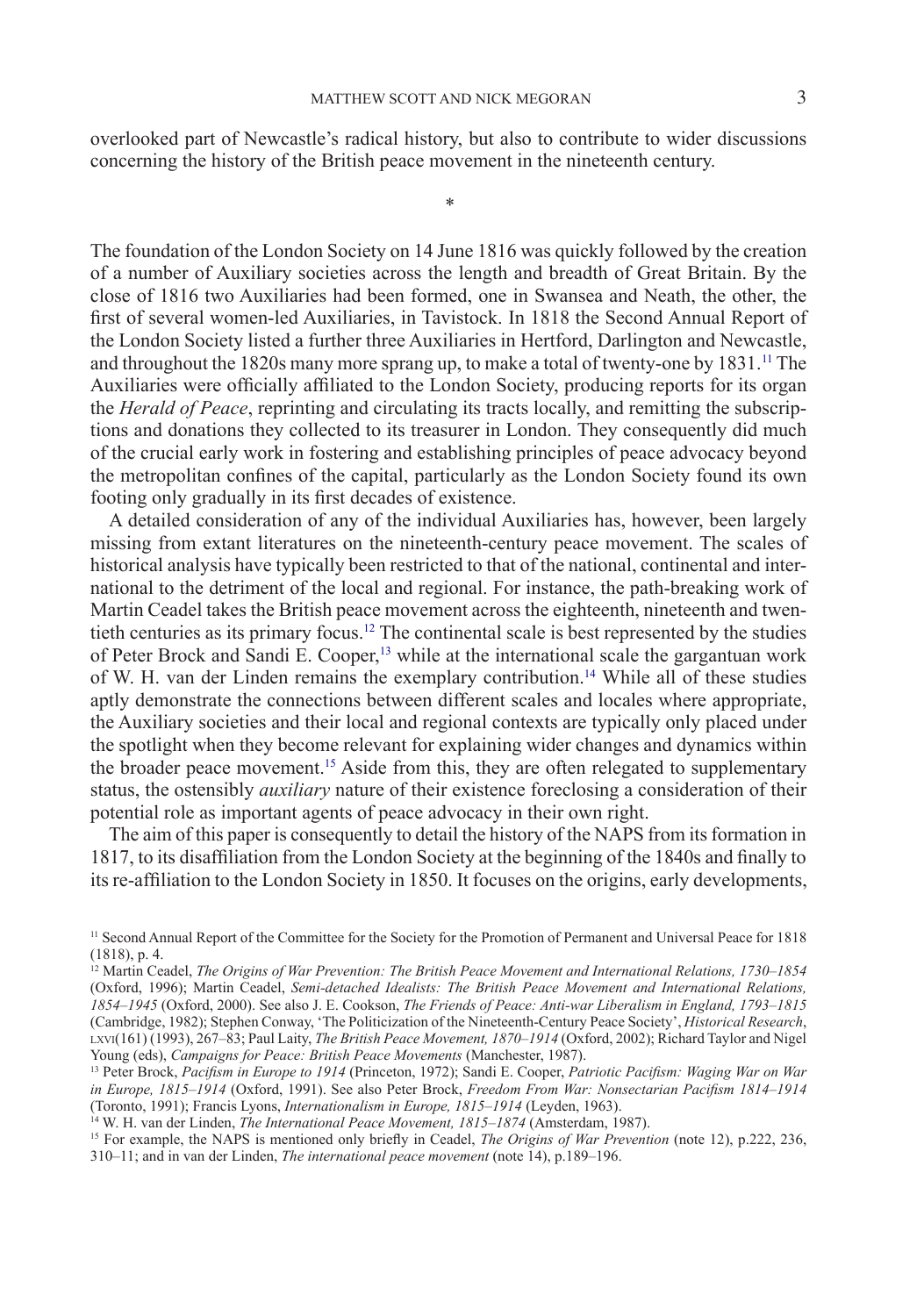overlooked part of Newcastle's radical history, but also to contribute to wider discussions concerning the history of the British peace movement in the nineteenth century.

*\**

The foundation of the London Society on 14 June 1816 was quickly followed by the creation of a number of Auxiliary societies across the length and breadth of Great Britain. By the close of 1816 two Auxiliaries had been formed, one in Swansea and Neath, the other, the first of several women-led Auxiliaries, in Tavistock. In 1818 the Second Annual Report of the London Society listed a further three Auxiliaries in Hertford, Darlington and Newcastle, and throughout the 1820s many more sprang up, to make a total of twenty-one by 1831.[11](#page-3-0) The Auxiliaries were officially affiliated to the London Society, producing reports for its organ the *Herald of Peace*, reprinting and circulating its tracts locally, and remitting the subscriptions and donations they collected to its treasurer in London. They consequently did much of the crucial early work in fostering and establishing principles of peace advocacy beyond the metropolitan confines of the capital, particularly as the London Society found its own footing only gradually in its first decades of existence.

A detailed consideration of any of the individual Auxiliaries has, however, been largely missing from extant literatures on the nineteenth-century peace movement. The scales of historical analysis have typically been restricted to that of the national, continental and international to the detriment of the local and regional. For instance, the path-breaking work of Martin Ceadel takes the British peace movement across the eighteenth, nineteenth and twentieth centuries as its primary focus[.12](#page-3-1) The continental scale is best represented by the studies of Peter Brock and Sandi E. Cooper,[13](#page-3-2) while at the international scale the gargantuan work of W. H. van der Linden remains the exemplary contribution[.14](#page-3-3) While all of these studies aptly demonstrate the connections between different scales and locales where appropriate, the Auxiliary societies and their local and regional contexts are typically only placed under the spotlight when they become relevant for explaining wider changes and dynamics within the broader peace movement[.15](#page-3-4) Aside from this, they are often relegated to supplementary status, the ostensibly *auxiliary* nature of their existence foreclosing a consideration of their potential role as important agents of peace advocacy in their own right.

The aim of this paper is consequently to detail the history of the NAPS from its formation in 1817, to its disaffiliation from the London Society at the beginning of the 1840s and finally to its re-affiliation to the London Society in 1850. It focuses on the origins, early developments,

<span id="page-3-0"></span><sup>&</sup>lt;sup>11</sup> Second Annual Report of the Committee for the Society for the Promotion of Permanent and Universal Peace for 1818 (1818), p. 4.

<span id="page-3-1"></span><sup>&</sup>lt;sup>12</sup> Martin Ceadel, *The Origins of War Prevention: The British Peace Movement and International Relations, 1730–1854* (Oxford, 1996); Martin Ceadel, *Semi-detached Idealists: The British Peace Movement and International Relations, 1854–1945* (Oxford, 2000). See also J. E. Cookson, *The Friends of Peace: Anti-war Liberalism in England, 1793–1815* (Cambridge, 1982); Stephen Conway, 'The Politicization of the Nineteenth-Century Peace Society', *Historical Research*, lxvi(161) (1993), 267–83; Paul Laity, *The British Peace Movement, 1870–1914* (Oxford, 2002); Richard Taylor and Nigel Young (eds), *Campaigns for Peace: British Peace Movements* (Manchester, 1987).

<span id="page-3-2"></span><sup>13</sup> Peter Brock, *Pacifism in Europe to 1914* (Princeton, 1972); Sandi E. Cooper, *Patriotic Pacifism: Waging War on War in Europe, 1815–1914* (Oxford, 1991). See also Peter Brock, *Freedom From War: Nonsectarian Pacifism 1814–1914* (Toronto, 1991); Francis Lyons, *Internationalism in Europe, 1815–1914* (Leyden, 1963).

<span id="page-3-3"></span><sup>14</sup> W. H. van der Linden, *The International Peace Movement, 1815–1874* (Amsterdam, 1987).

<span id="page-3-4"></span><sup>15</sup> For example, the NAPS is mentioned only briefly in Ceadel, *The Origins of War Prevention* (note 12), p.222, 236, 310–11; and in van der Linden, *The international peace movement* (note 14), p.189–196.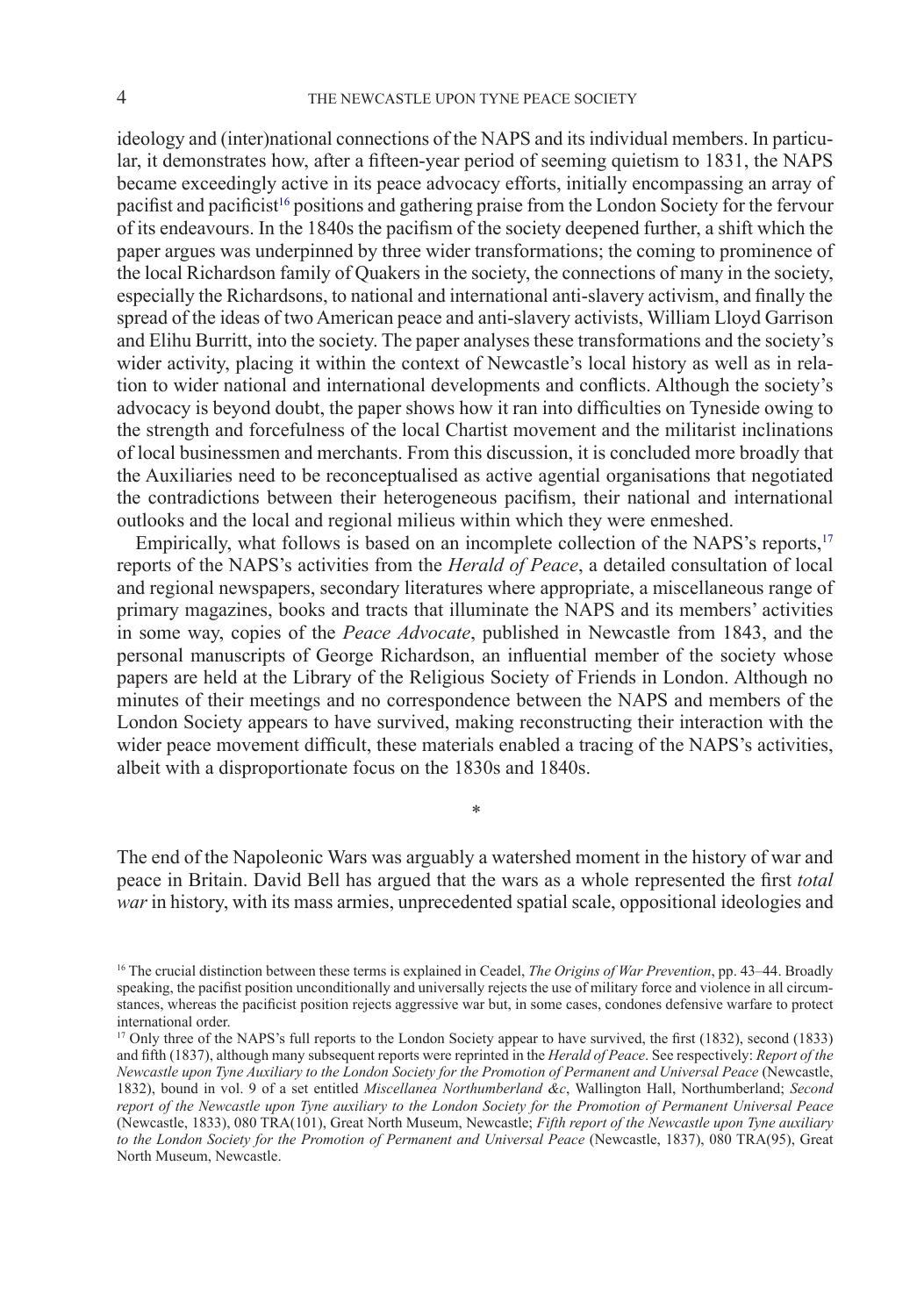ideology and (inter)national connections of the NAPS and its individual members. In particular, it demonstrates how, after a fifteen-year period of seeming quietism to 1831, the NAPS became exceedingly active in its peace advocacy efforts, initially encompassing an array of pacifist and pacificist<sup>16</sup> positions and gathering praise from the London Society for the fervour of its endeavours. In the 1840s the pacifism of the society deepened further, a shift which the paper argues was underpinned by three wider transformations; the coming to prominence of the local Richardson family of Quakers in the society, the connections of many in the society, especially the Richardsons, to national and international anti-slavery activism, and finally the spread of the ideas of two American peace and anti-slavery activists, William Lloyd Garrison and Elihu Burritt, into the society. The paper analyses these transformations and the society's wider activity, placing it within the context of Newcastle's local history as well as in relation to wider national and international developments and conflicts. Although the society's advocacy is beyond doubt, the paper shows how it ran into difficulties on Tyneside owing to the strength and forcefulness of the local Chartist movement and the militarist inclinations of local businessmen and merchants. From this discussion, it is concluded more broadly that the Auxiliaries need to be reconceptualised as active agential organisations that negotiated the contradictions between their heterogeneous pacifism, their national and international outlooks and the local and regional milieus within which they were enmeshed.

Empirically, what follows is based on an incomplete collection of the NAPS's reports, $17$ reports of the NAPS's activities from the *Herald of Peace*, a detailed consultation of local and regional newspapers, secondary literatures where appropriate, a miscellaneous range of primary magazines, books and tracts that illuminate the NAPS and its members' activities in some way, copies of the *Peace Advocate*, published in Newcastle from 1843, and the personal manuscripts of George Richardson, an influential member of the society whose papers are held at the Library of the Religious Society of Friends in London. Although no minutes of their meetings and no correspondence between the NAPS and members of the London Society appears to have survived, making reconstructing their interaction with the wider peace movement difficult, these materials enabled a tracing of the NAPS's activities, albeit with a disproportionate focus on the 1830s and 1840s.

The end of the Napoleonic Wars was arguably a watershed moment in the history of war and peace in Britain. David Bell has argued that the wars as a whole represented the first *total war* in history, with its mass armies, unprecedented spatial scale, oppositional ideologies and

*\**

<span id="page-4-0"></span><sup>16</sup> The crucial distinction between these terms is explained in Ceadel, *The Origins of War Prevention*, pp. 43–44. Broadly speaking, the pacifist position unconditionally and universally rejects the use of military force and violence in all circumstances, whereas the pacificist position rejects aggressive war but, in some cases, condones defensive warfare to protect international order.

<span id="page-4-1"></span><sup>&</sup>lt;sup>17</sup> Only three of the NAPS's full reports to the London Society appear to have survived, the first (1832), second (1833) and fifth (1837), although many subsequent reports were reprinted in the *Herald of Peace*. See respectively: *Report of the Newcastle upon Tyne Auxiliary to the London Society for the Promotion of Permanent and Universal Peace* (Newcastle, 1832), bound in vol. 9 of a set entitled *Miscellanea Northumberland &c*, Wallington Hall, Northumberland; *Second report of the Newcastle upon Tyne auxiliary to the London Society for the Promotion of Permanent Universal Peace* (Newcastle, 1833), 080 TRA(101), Great North Museum, Newcastle; *Fifth report of the Newcastle upon Tyne auxiliary to the London Society for the Promotion of Permanent and Universal Peace* (Newcastle, 1837), 080 TRA(95), Great North Museum, Newcastle.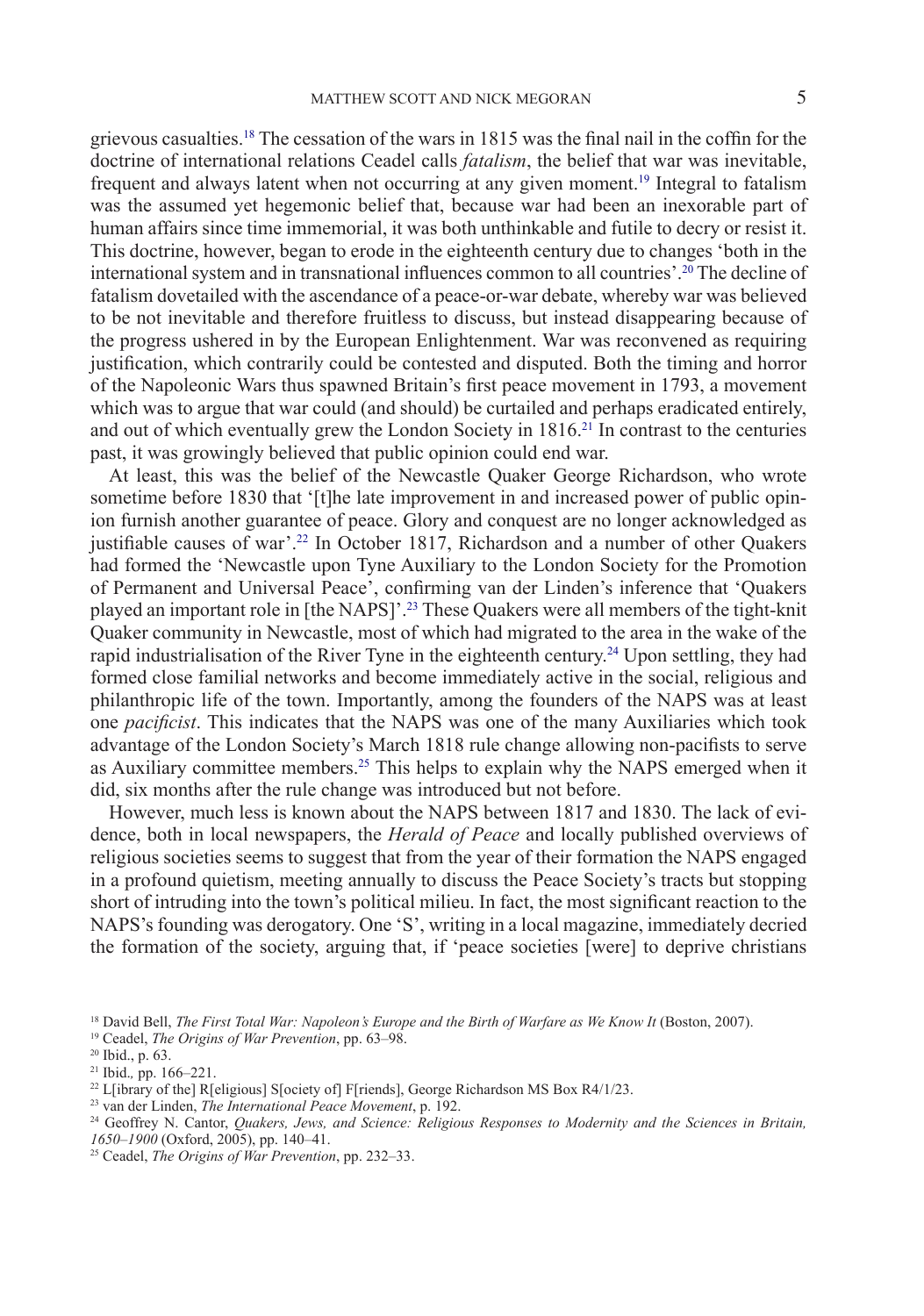grievous casualties.<sup>18</sup> The cessation of the wars in  $1815$  was the final nail in the coffin for the doctrine of international relations Ceadel calls *fatalism*, the belief that war was inevitable, frequent and always latent when not occurring at any given moment.[19](#page-5-1) Integral to fatalism was the assumed yet hegemonic belief that, because war had been an inexorable part of human affairs since time immemorial, it was both unthinkable and futile to decry or resist it. This doctrine, however, began to erode in the eighteenth century due to changes 'both in the international system and in transnational influences common to all countries'.[20](#page-5-2) The decline of fatalism dovetailed with the ascendance of a peace-or-war debate, whereby war was believed to be not inevitable and therefore fruitless to discuss, but instead disappearing because of the progress ushered in by the European Enlightenment. War was reconvened as requiring justification, which contrarily could be contested and disputed. Both the timing and horror of the Napoleonic Wars thus spawned Britain's first peace movement in 1793, a movement which was to argue that war could (and should) be curtailed and perhaps eradicated entirely, and out of which eventually grew the London Society in 1816.[21](#page-5-3) In contrast to the centuries past, it was growingly believed that public opinion could end war.

At least, this was the belief of the Newcastle Quaker George Richardson, who wrote sometime before 1830 that '[t]he late improvement in and increased power of public opinion furnish another guarantee of peace. Glory and conquest are no longer acknowledged as justifiable causes of war'.[22](#page-5-4) In October 1817, Richardson and a number of other Quakers had formed the 'Newcastle upon Tyne Auxiliary to the London Society for the Promotion of Permanent and Universal Peace', confirming van der Linden's inference that 'Quakers played an important role in [the NAPS]'.[23](#page-5-5) These Quakers were all members of the tight-knit Quaker community in Newcastle, most of which had migrated to the area in the wake of the rapid industrialisation of the River Tyne in the eighteenth century.<sup>[24](#page-5-6)</sup> Upon settling, they had formed close familial networks and become immediately active in the social, religious and philanthropic life of the town. Importantly, among the founders of the NAPS was at least one *pacificist*. This indicates that the NAPS was one of the many Auxiliaries which took advantage of the London Society's March 1818 rule change allowing non-pacifists to serve as Auxiliary committee members[.25](#page-5-7) This helps to explain why the NAPS emerged when it did, six months after the rule change was introduced but not before.

However, much less is known about the NAPS between 1817 and 1830. The lack of evidence, both in local newspapers, the *Herald of Peace* and locally published overviews of religious societies seems to suggest that from the year of their formation the NAPS engaged in a profound quietism, meeting annually to discuss the Peace Society's tracts but stopping short of intruding into the town's political milieu. In fact, the most significant reaction to the NAPS's founding was derogatory. One 'S', writing in a local magazine, immediately decried the formation of the society, arguing that, if 'peace societies [were] to deprive christians

<span id="page-5-5"></span>23 van der Linden, *The International Peace Movement*, p. 192.

<span id="page-5-0"></span><sup>&</sup>lt;sup>18</sup> David Bell, *The First Total War: Napoleon's Europe and the Birth of Warfare as We Know It* (Boston, 2007).

<span id="page-5-1"></span><sup>19</sup> Ceadel, *The Origins of War Prevention*, pp. 63–98.

<span id="page-5-2"></span><sup>20</sup> Ibid., p. 63.

<span id="page-5-3"></span><sup>21</sup> Ibid.*,* pp. 166–221.

<span id="page-5-4"></span><sup>&</sup>lt;sup>22</sup> L[ibrary of the] R[eligious] S[ociety of] F[riends], George Richardson MS Box R4/1/23.

<span id="page-5-6"></span><sup>24</sup> Geoffrey N. Cantor, *Quakers, Jews, and Science: Religious Responses to Modernity and the Sciences in Britain, 1650–1900* (Oxford, 2005), pp. 140–41.

<span id="page-5-7"></span><sup>25</sup> Ceadel, *The Origins of War Prevention*, pp. 232–33.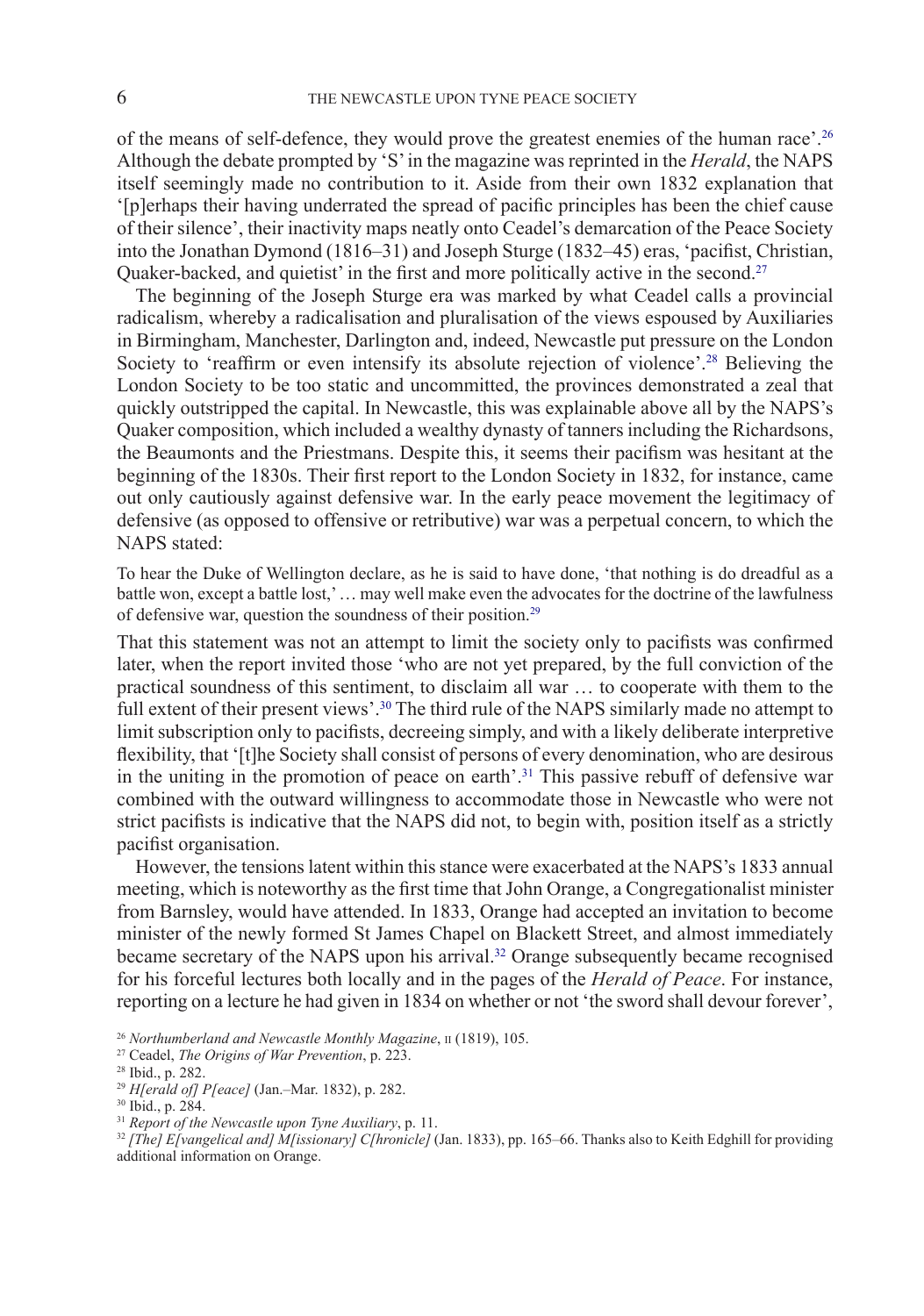of the means of self-defence, they would prove the greatest enemies of the human race'.[26](#page-6-0) Although the debate prompted by 'S' in the magazine was reprinted in the *Herald*, the NAPS itself seemingly made no contribution to it. Aside from their own 1832 explanation that '[p]erhaps their having underrated the spread of pacific principles has been the chief cause of their silence', their inactivity maps neatly onto Ceadel's demarcation of the Peace Society into the Jonathan Dymond (1816–31) and Joseph Sturge (1832–45) eras, 'pacifist, Christian, Quaker-backed, and quietist' in the first and more politically active in the second.<sup>[27](#page-6-1)</sup>

The beginning of the Joseph Sturge era was marked by what Ceadel calls a provincial radicalism, whereby a radicalisation and pluralisation of the views espoused by Auxiliaries in Birmingham, Manchester, Darlington and, indeed, Newcastle put pressure on the London Society to 'reaffirm or even intensify its absolute rejection of violence'.<sup>[28](#page-6-2)</sup> Believing the London Society to be too static and uncommitted, the provinces demonstrated a zeal that quickly outstripped the capital. In Newcastle, this was explainable above all by the NAPS's Quaker composition, which included a wealthy dynasty of tanners including the Richardsons, the Beaumonts and the Priestmans. Despite this, it seems their pacifism was hesitant at the beginning of the 1830s. Their first report to the London Society in 1832, for instance, came out only cautiously against defensive war. In the early peace movement the legitimacy of defensive (as opposed to offensive or retributive) war was a perpetual concern, to which the NAPS stated:

To hear the Duke of Wellington declare, as he is said to have done, 'that nothing is do dreadful as a battle won, except a battle lost,' … may well make even the advocates for the doctrine of the lawfulness of defensive war, question the soundness of their position.[29](#page-6-3)

That this statement was not an attempt to limit the society only to pacifists was confirmed later, when the report invited those 'who are not yet prepared, by the full conviction of the practical soundness of this sentiment, to disclaim all war … to cooperate with them to the full extent of their present views'.<sup>[30](#page-6-4)</sup> The third rule of the NAPS similarly made no attempt to limit subscription only to pacifists, decreeing simply, and with a likely deliberate interpretive flexibility, that '[t]he Society shall consist of persons of every denomination, who are desirous in the uniting in the promotion of peace on earth'.<sup>31</sup> This passive rebuff of defensive war combined with the outward willingness to accommodate those in Newcastle who were not strict pacifists is indicative that the NAPS did not, to begin with, position itself as a strictly pacifist organisation.

However, the tensions latent within this stance were exacerbated at the NAPS's 1833 annual meeting, which is noteworthy as the first time that John Orange, a Congregationalist minister from Barnsley, would have attended. In 1833, Orange had accepted an invitation to become minister of the newly formed St James Chapel on Blackett Street, and almost immediately became secretary of the NAPS upon his arrival.<sup>32</sup> Orange subsequently became recognised for his forceful lectures both locally and in the pages of the *Herald of Peace*. For instance, reporting on a lecture he had given in 1834 on whether or not 'the sword shall devour forever',

<span id="page-6-0"></span><sup>26</sup> *Northumberland and Newcastle Monthly Magazine*, ii (1819), 105.

<span id="page-6-1"></span><sup>27</sup> Ceadel, *The Origins of War Prevention*, p. 223.

<span id="page-6-2"></span><sup>28</sup> Ibid., p. 282.

<span id="page-6-3"></span><sup>29</sup> *H[erald of] P[eace]* (Jan.–Mar. 1832), p. 282.

<span id="page-6-4"></span><sup>30</sup> Ibid., p. 284.

<span id="page-6-5"></span><sup>31</sup> *Report of the Newcastle upon Tyne Auxiliary*, p. 11.

<span id="page-6-6"></span><sup>&</sup>lt;sup>32</sup> [The] E[vangelical and] M[issionary] C[hronicle] (Jan. 1833), pp. 165–66. Thanks also to Keith Edghill for providing additional information on Orange.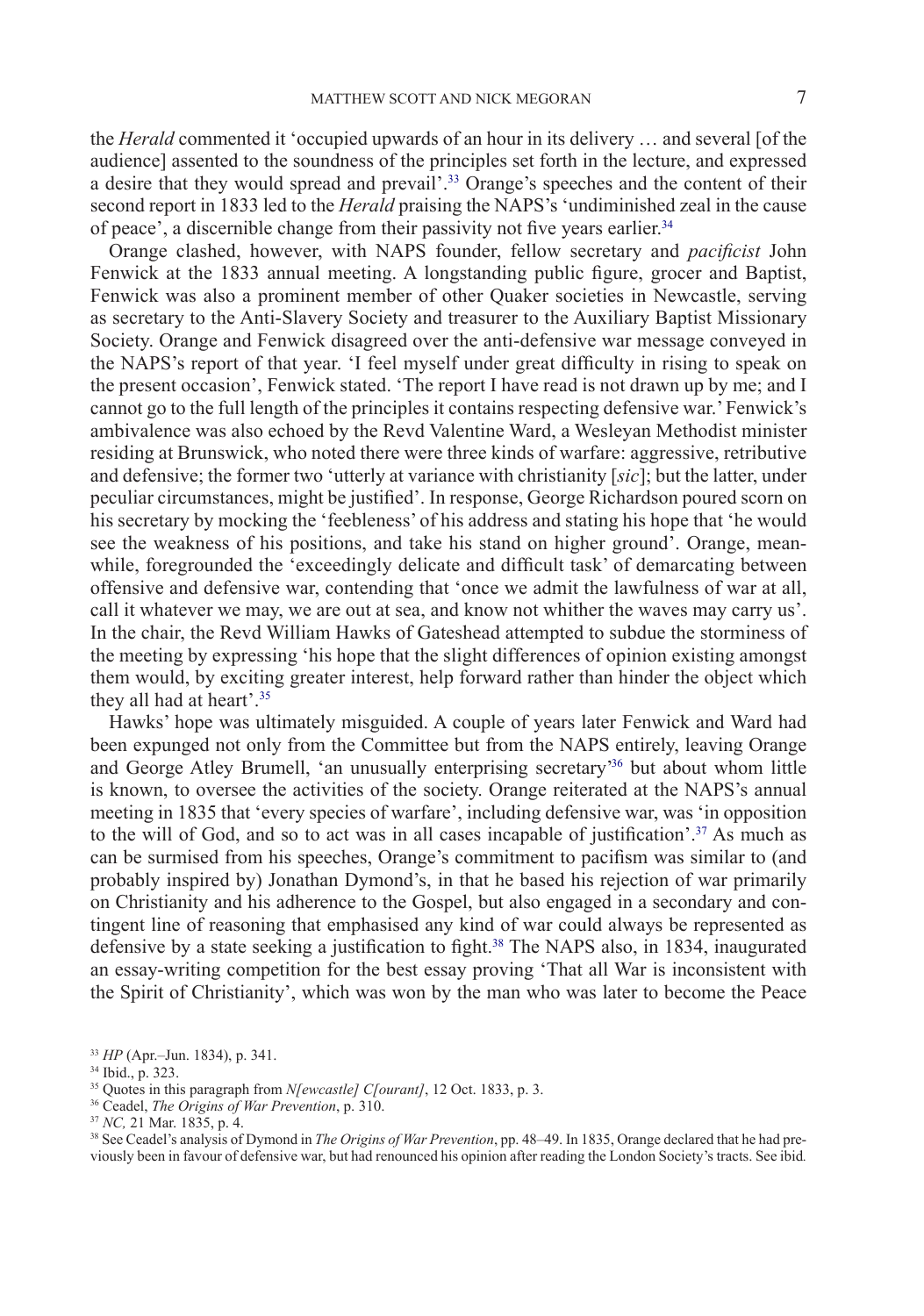the *Herald* commented it 'occupied upwards of an hour in its delivery … and several [of the audience] assented to the soundness of the principles set forth in the lecture, and expressed a desire that they would spread and prevail'.[33](#page-7-0) Orange's speeches and the content of their second report in 1833 led to the *Herald* praising the NAPS's 'undiminished zeal in the cause of peace', a discernible change from their passivity not five years earlier. [34](#page-7-1)

Orange clashed, however, with NAPS founder, fellow secretary and *pacificist* John Fenwick at the 1833 annual meeting. A longstanding public figure, grocer and Baptist, Fenwick was also a prominent member of other Quaker societies in Newcastle, serving as secretary to the Anti-Slavery Society and treasurer to the Auxiliary Baptist Missionary Society. Orange and Fenwick disagreed over the anti-defensive war message conveyed in the NAPS's report of that year. 'I feel myself under great difficulty in rising to speak on the present occasion', Fenwick stated. 'The report I have read is not drawn up by me; and I cannot go to the full length of the principles it contains respecting defensive war.' Fenwick's ambivalence was also echoed by the Revd Valentine Ward, a Wesleyan Methodist minister residing at Brunswick, who noted there were three kinds of warfare: aggressive, retributive and defensive; the former two 'utterly at variance with christianity [*sic*]; but the latter, under peculiar circumstances, might be justified'. In response, George Richardson poured scorn on his secretary by mocking the 'feebleness' of his address and stating his hope that 'he would see the weakness of his positions, and take his stand on higher ground'. Orange, meanwhile, foregrounded the 'exceedingly delicate and difficult task' of demarcating between offensive and defensive war, contending that 'once we admit the lawfulness of war at all, call it whatever we may, we are out at sea, and know not whither the waves may carry us'. In the chair, the Revd William Hawks of Gateshead attempted to subdue the storminess of the meeting by expressing 'his hope that the slight differences of opinion existing amongst them would, by exciting greater interest, help forward rather than hinder the object which they all had at heart'.[35](#page-7-2)

Hawks' hope was ultimately misguided. A couple of years later Fenwick and Ward had been expunged not only from the Committee but from the NAPS entirely, leaving Orange and George Atley Brumell, 'an unusually enterprising secretary'[36](#page-7-3) but about whom little is known, to oversee the activities of the society. Orange reiterated at the NAPS's annual meeting in 1835 that 'every species of warfare', including defensive war, was 'in opposition to the will of God, and so to act was in all cases incapable of justification'.<sup>37</sup> As much as can be surmised from his speeches, Orange's commitment to pacifism was similar to (and probably inspired by) Jonathan Dymond's, in that he based his rejection of war primarily on Christianity and his adherence to the Gospel, but also engaged in a secondary and contingent line of reasoning that emphasised any kind of war could always be represented as defensive by a state seeking a justification to fight.<sup>[38](#page-7-5)</sup> The NAPS also, in 1834, inaugurated an essay-writing competition for the best essay proving 'That all War is inconsistent with the Spirit of Christianity', which was won by the man who was later to become the Peace

<span id="page-7-5"></span>38 See Ceadel's analysis of Dymond in *The Origins of War Prevention*, pp. 48–49. In 1835, Orange declared that he had previously been in favour of defensive war, but had renounced his opinion after reading the London Society's tracts. See ibid*.*

<span id="page-7-0"></span><sup>33</sup> *HP* (Apr.–Jun. 1834), p. 341.

<span id="page-7-1"></span><sup>34</sup> Ibid., p. 323.

<span id="page-7-2"></span><sup>35</sup> Quotes in this paragraph from *N[ewcastle] C[ourant]*, 12 Oct. 1833, p. 3.

<span id="page-7-3"></span><sup>36</sup> Ceadel, *The Origins of War Prevention*, p. 310.

<span id="page-7-4"></span><sup>37</sup> *NC,* 21 Mar. 1835, p. 4.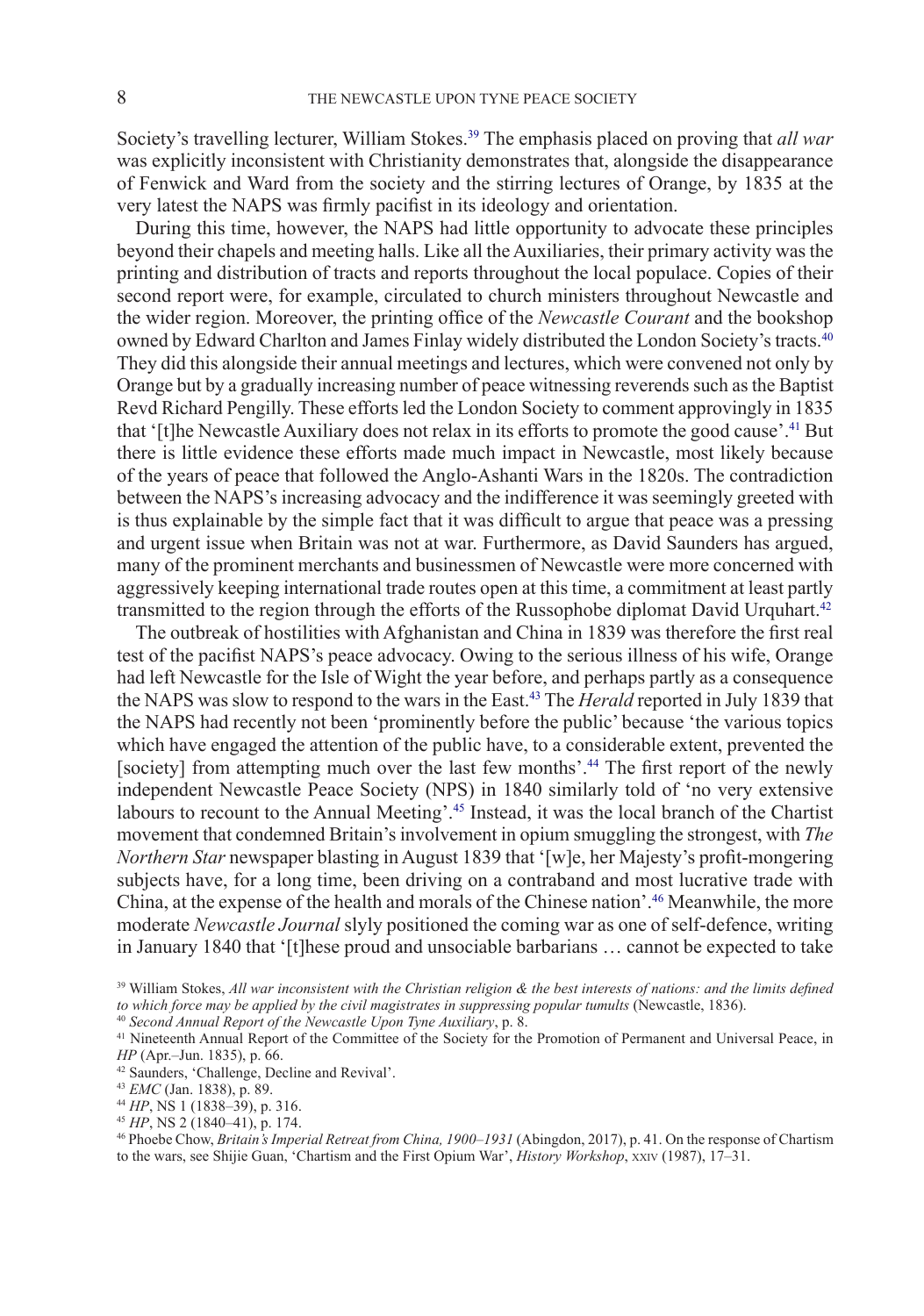Society's travelling lecturer, William Stokes.[39](#page-8-0) The emphasis placed on proving that *all war* was explicitly inconsistent with Christianity demonstrates that, alongside the disappearance of Fenwick and Ward from the society and the stirring lectures of Orange, by 1835 at the very latest the NAPS was firmly pacifist in its ideology and orientation.

During this time, however, the NAPS had little opportunity to advocate these principles beyond their chapels and meeting halls. Like all the Auxiliaries, their primary activity was the printing and distribution of tracts and reports throughout the local populace. Copies of their second report were, for example, circulated to church ministers throughout Newcastle and the wider region. Moreover, the printing office of the *Newcastle Courant* and the bookshop owned by Edward Charlton and James Finlay widely distributed the London Society's tracts.[40](#page-8-1) They did this alongside their annual meetings and lectures, which were convened not only by Orange but by a gradually increasing number of peace witnessing reverends such as the Baptist Revd Richard Pengilly. These efforts led the London Society to comment approvingly in 1835 that '[t]he Newcastle Auxiliary does not relax in its efforts to promote the good cause'.[41](#page-8-2) But there is little evidence these efforts made much impact in Newcastle, most likely because of the years of peace that followed the Anglo-Ashanti Wars in the 1820s. The contradiction between the NAPS's increasing advocacy and the indifference it was seemingly greeted with is thus explainable by the simple fact that it was difficult to argue that peace was a pressing and urgent issue when Britain was not at war. Furthermore, as David Saunders has argued, many of the prominent merchants and businessmen of Newcastle were more concerned with aggressively keeping international trade routes open at this time, a commitment at least partly transmitted to the region through the efforts of the Russophobe diplomat David Urquhart.<sup>[42](#page-8-3)</sup>

The outbreak of hostilities with Afghanistan and China in 1839 was therefore the first real test of the pacifist NAPS's peace advocacy. Owing to the serious illness of his wife, Orange had left Newcastle for the Isle of Wight the year before, and perhaps partly as a consequence the NAPS was slow to respond to the wars in the East.[43](#page-8-4) The *Herald* reported in July 1839 that the NAPS had recently not been 'prominently before the public' because 'the various topics which have engaged the attention of the public have, to a considerable extent, prevented the [society] from attempting much over the last few months'.<sup>[44](#page-8-5)</sup> The first report of the newly independent Newcastle Peace Society (NPS) in 1840 similarly told of 'no very extensive labours to recount to the Annual Meeting'.<sup>[45](#page-8-6)</sup> Instead, it was the local branch of the Chartist movement that condemned Britain's involvement in opium smuggling the strongest, with *The Northern Star* newspaper blasting in August 1839 that '[w]e, her Majesty's profit-mongering subjects have, for a long time, been driving on a contraband and most lucrative trade with China, at the expense of the health and morals of the Chinese nation'.[46](#page-8-7) Meanwhile, the more moderate *Newcastle Journal* slyly positioned the coming war as one of self-defence, writing in January 1840 that '[t]hese proud and unsociable barbarians … cannot be expected to take

<span id="page-8-0"></span><sup>39</sup> William Stokes, *All war inconsistent with the Christian religion & the best interests of nations: and the limits defined*  to which force may be applied by the civil magistrates in suppressing popular tumults (Newcastle, 1836).

<span id="page-8-1"></span><sup>40</sup> *Second Annual Report of the Newcastle Upon Tyne Auxiliary*, p. 8.

<span id="page-8-2"></span><sup>41</sup> Nineteenth Annual Report of the Committee of the Society for the Promotion of Permanent and Universal Peace, in *HP* (Apr.–Jun. 1835), p. 66.

<span id="page-8-3"></span><sup>42</sup> Saunders, 'Challenge, Decline and Revival'.

<span id="page-8-4"></span><sup>43</sup> *EMC* (Jan. 1838), p. 89.

<span id="page-8-5"></span><sup>44</sup> *HP*, NS 1 (1838–39), p. 316.

<span id="page-8-6"></span><sup>45</sup> *HP*, NS 2 (1840–41), p. 174.

<span id="page-8-7"></span><sup>46</sup> Phoebe Chow, *Britain's Imperial Retreat from China, 1900–1931* (Abingdon, 2017), p. 41. On the response of Chartism to the wars, see Shijie Guan, 'Chartism and the First Opium War', *History Workshop*, xxiv (1987), 17-31.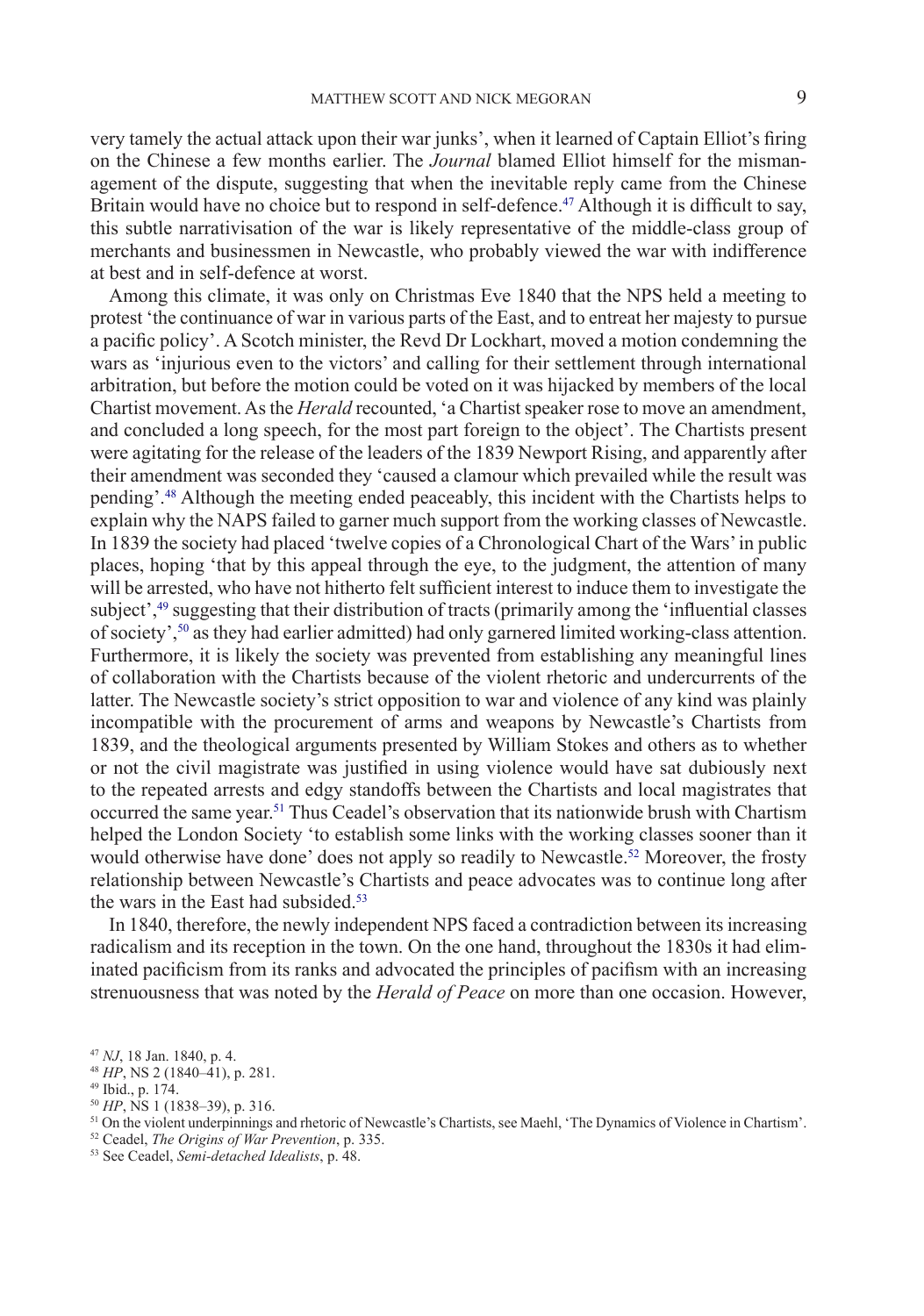very tamely the actual attack upon their war junks', when it learned of Captain Elliot's firing on the Chinese a few months earlier. The *Journal* blamed Elliot himself for the mismanagement of the dispute, suggesting that when the inevitable reply came from the Chinese Britain would have no choice but to respond in self-defence.<sup>[47](#page-9-0)</sup> Although it is difficult to say, this subtle narrativisation of the war is likely representative of the middle-class group of merchants and businessmen in Newcastle, who probably viewed the war with indifference at best and in self-defence at worst.

Among this climate, it was only on Christmas Eve 1840 that the NPS held a meeting to protest 'the continuance of war in various parts of the East, and to entreat her majesty to pursue a pacific policy'. A Scotch minister, the Revd Dr Lockhart, moved a motion condemning the wars as 'injurious even to the victors' and calling for their settlement through international arbitration, but before the motion could be voted on it was hijacked by members of the local Chartist movement. As the *Herald* recounted, 'a Chartist speaker rose to move an amendment, and concluded a long speech, for the most part foreign to the object'. The Chartists present were agitating for the release of the leaders of the 1839 Newport Rising, and apparently after their amendment was seconded they 'caused a clamour which prevailed while the result was pending'.[48](#page-9-1) Although the meeting ended peaceably, this incident with the Chartists helps to explain why the NAPS failed to garner much support from the working classes of Newcastle. In 1839 the society had placed 'twelve copies of a Chronological Chart of the Wars' in public places, hoping 'that by this appeal through the eye, to the judgment, the attention of many will be arrested, who have not hitherto felt sufficient interest to induce them to investigate the subiect',<sup>[49](#page-9-2)</sup> suggesting that their distribution of tracts (primarily among the 'influential classes of society',[50](#page-9-3) as they had earlier admitted) had only garnered limited working-class attention. Furthermore, it is likely the society was prevented from establishing any meaningful lines of collaboration with the Chartists because of the violent rhetoric and undercurrents of the latter. The Newcastle society's strict opposition to war and violence of any kind was plainly incompatible with the procurement of arms and weapons by Newcastle's Chartists from 1839, and the theological arguments presented by William Stokes and others as to whether or not the civil magistrate was justified in using violence would have sat dubiously next to the repeated arrests and edgy standoffs between the Chartists and local magistrates that occurred the same year[.51](#page-9-4) Thus Ceadel's observation that its nationwide brush with Chartism helped the London Society 'to establish some links with the working classes sooner than it would otherwise have done' does not apply so readily to Newcastle.<sup>[52](#page-9-5)</sup> Moreover, the frosty relationship between Newcastle's Chartists and peace advocates was to continue long after the wars in the East had subsided.<sup>53</sup>

In 1840, therefore, the newly independent NPS faced a contradiction between its increasing radicalism and its reception in the town. On the one hand, throughout the 1830s it had eliminated pacificism from its ranks and advocated the principles of pacifism with an increasing strenuousness that was noted by the *Herald of Peace* on more than one occasion. However,

<span id="page-9-0"></span><sup>47</sup> *NJ*, 18 Jan. 1840, p. 4.

<span id="page-9-1"></span><sup>48</sup> *HP*, NS 2 (1840–41), p. 281.

<span id="page-9-2"></span><sup>49</sup> Ibid., p. 174.

<span id="page-9-3"></span><sup>50</sup> *HP*, NS 1 (1838–39), p. 316.

<span id="page-9-4"></span><sup>51</sup> On the violent underpinnings and rhetoric of Newcastle's Chartists, see Maehl, 'The Dynamics of Violence in Chartism'.

<span id="page-9-5"></span><sup>52</sup> Ceadel, *The Origins of War Prevention*, p. 335.

<span id="page-9-6"></span><sup>53</sup> See Ceadel, *Semi-detached Idealists*, p. 48.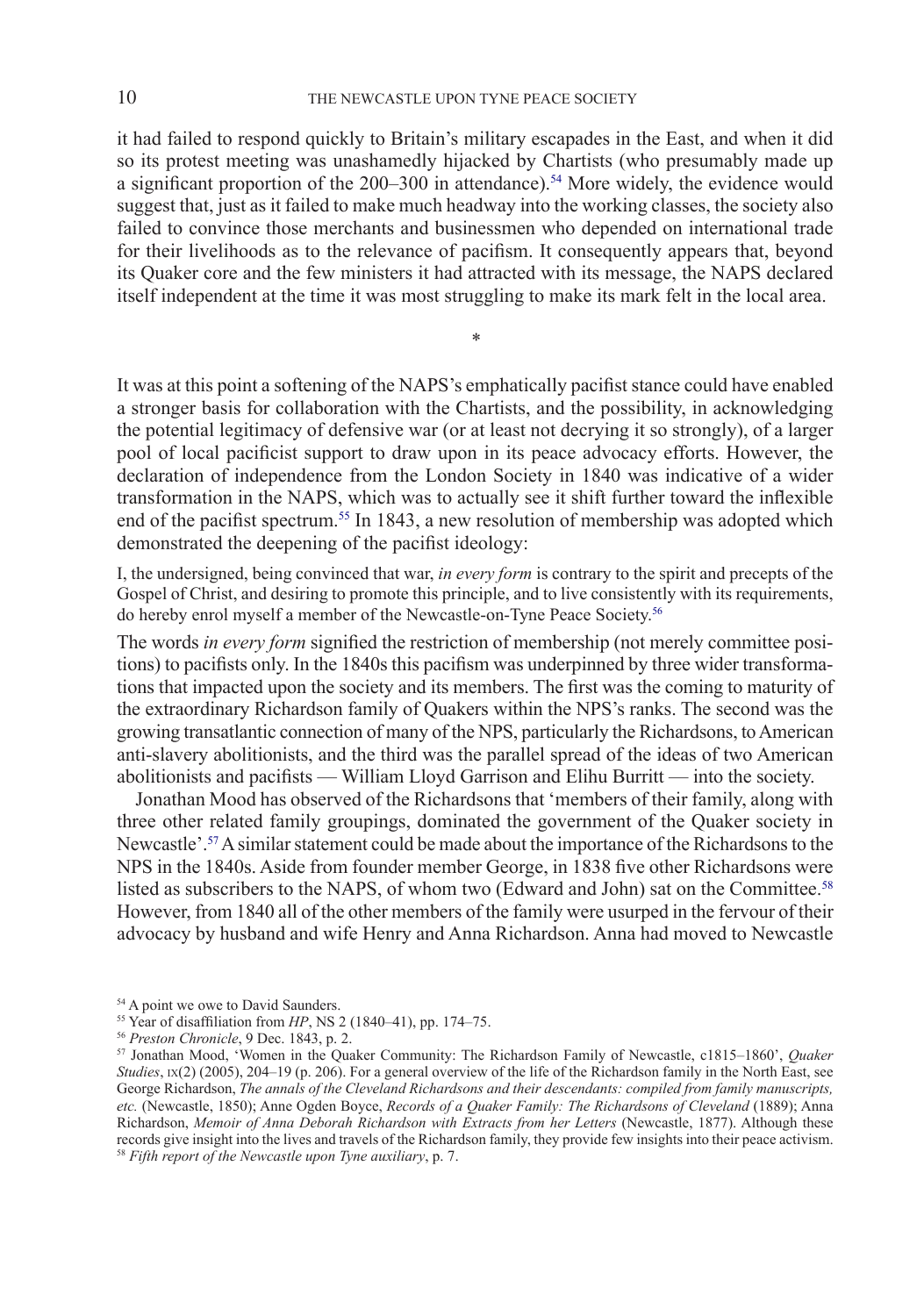it had failed to respond quickly to Britain's military escapades in the East, and when it did so its protest meeting was unashamedly hijacked by Chartists (who presumably made up a significant proportion of the 200–300 in attendance).[54](#page-10-0) More widely, the evidence would suggest that, just as it failed to make much headway into the working classes, the society also failed to convince those merchants and businessmen who depended on international trade for their livelihoods as to the relevance of pacifism. It consequently appears that, beyond its Quaker core and the few ministers it had attracted with its message, the NAPS declared itself independent at the time it was most struggling to make its mark felt in the local area.

*\**

It was at this point a softening of the NAPS's emphatically pacifist stance could have enabled a stronger basis for collaboration with the Chartists, and the possibility, in acknowledging the potential legitimacy of defensive war (or at least not decrying it so strongly), of a larger pool of local pacificist support to draw upon in its peace advocacy efforts. However, the declaration of independence from the London Society in 1840 was indicative of a wider transformation in the NAPS, which was to actually see it shift further toward the inflexible end of the pacifist spectrum.<sup>55</sup> In 1843, a new resolution of membership was adopted which demonstrated the deepening of the pacifist ideology:

I, the undersigned, being convinced that war, *in every form* is contrary to the spirit and precepts of the Gospel of Christ, and desiring to promote this principle, and to live consistently with its requirements, do hereby enrol myself a member of the Newcastle-on-Tyne Peace Society.[56](#page-10-2)

The words *in every form* signified the restriction of membership (not merely committee positions) to pacifists only. In the 1840s this pacifism was underpinned by three wider transformations that impacted upon the society and its members. The first was the coming to maturity of the extraordinary Richardson family of Quakers within the NPS's ranks. The second was the growing transatlantic connection of many of the NPS, particularly the Richardsons, to American anti-slavery abolitionists, and the third was the parallel spread of the ideas of two American abolitionists and pacifists — William Lloyd Garrison and Elihu Burritt — into the society.

Jonathan Mood has observed of the Richardsons that 'members of their family, along with three other related family groupings, dominated the government of the Quaker society in Newcastle'.[57](#page-10-3) A similar statement could be made about the importance of the Richardsons to the NPS in the 1840s. Aside from founder member George, in 1838 five other Richardsons were listed as subscribers to the NAPS, of whom two (Edward and John) sat on the Committee.<sup>[58](#page-10-4)</sup> However, from 1840 all of the other members of the family were usurped in the fervour of their advocacy by husband and wife Henry and Anna Richardson. Anna had moved to Newcastle

<span id="page-10-0"></span><sup>&</sup>lt;sup>54</sup> A point we owe to David Saunders.

<span id="page-10-1"></span><sup>55</sup> Year of disaffiliation from *HP*, NS 2 (1840–41), pp. 174–75.

<span id="page-10-2"></span><sup>56</sup> *Preston Chronicle*, 9 Dec. 1843, p. 2.

<span id="page-10-4"></span><span id="page-10-3"></span><sup>57</sup> Jonathan Mood, 'Women in the Quaker Community: The Richardson Family of Newcastle, c1815–1860', *Quaker Studies*,  $\vert x(2) \vert \vert (2005)$ ,  $204-19$  (p. 206). For a general overview of the life of the Richardson family in the North East, see George Richardson, *The annals of the Cleveland Richardsons and their descendants: compiled from family manuscripts, etc.* (Newcastle, 1850); Anne Ogden Boyce, *Records of a Quaker Family: The Richardsons of Cleveland* (1889); Anna Richardson, *Memoir of Anna Deborah Richardson with Extracts from her Letters* (Newcastle, 1877). Although these records give insight into the lives and travels of the Richardson family, they provide few insights into their peace activism. <sup>58</sup> *Fifth report of the Newcastle upon Tyne auxiliary*, p. 7.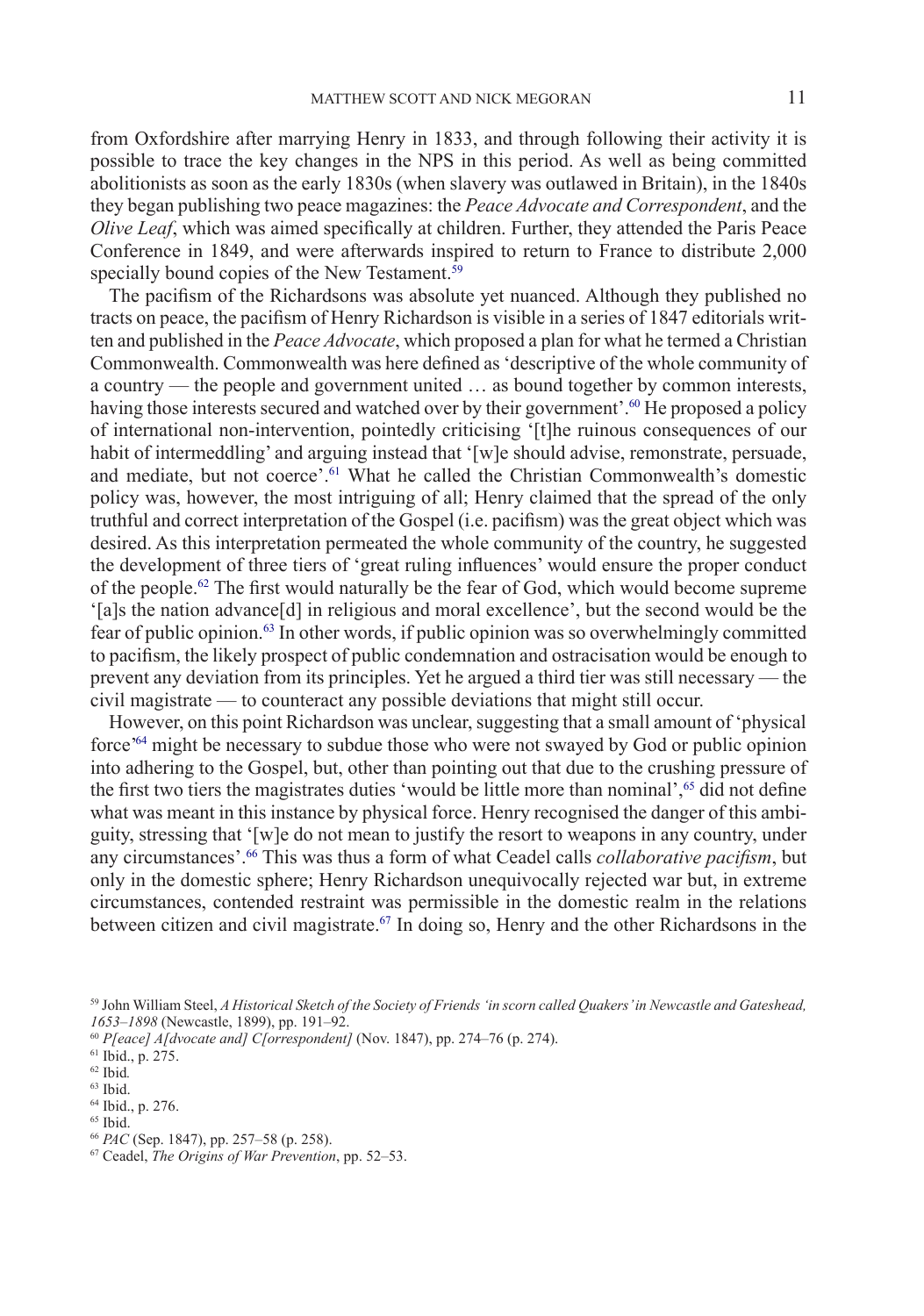from Oxfordshire after marrying Henry in 1833, and through following their activity it is possible to trace the key changes in the NPS in this period. As well as being committed abolitionists as soon as the early 1830s (when slavery was outlawed in Britain), in the 1840s they began publishing two peace magazines: the *Peace Advocate and Correspondent*, and the *Olive Leaf*, which was aimed specifically at children. Further, they attended the Paris Peace Conference in 1849, and were afterwards inspired to return to France to distribute 2,000 specially bound copies of the New Testament.<sup>59</sup>

The pacifism of the Richardsons was absolute yet nuanced. Although they published no tracts on peace, the pacifism of Henry Richardson is visible in a series of 1847 editorials written and published in the *Peace Advocate*, which proposed a plan for what he termed a Christian Commonwealth. Commonwealth was here defined as 'descriptive of the whole community of a country — the people and government united … as bound together by common interests, having those interests secured and watched over by their government'.<sup>60</sup> He proposed a policy of international non-intervention, pointedly criticising '[t]he ruinous consequences of our habit of intermeddling' and arguing instead that '[w]e should advise, remonstrate, persuade, and mediate, but not coerce'.<sup>[61](#page-11-2)</sup> What he called the Christian Commonwealth's domestic policy was, however, the most intriguing of all; Henry claimed that the spread of the only truthful and correct interpretation of the Gospel (i.e. pacifism) was the great object which was desired. As this interpretation permeated the whole community of the country, he suggested the development of three tiers of 'great ruling influences' would ensure the proper conduct of the people.<sup>[62](#page-11-3)</sup> The first would naturally be the fear of God, which would become supreme '[a]s the nation advance[d] in religious and moral excellence', but the second would be the fear of public opinion.<sup>63</sup> In other words, if public opinion was so overwhelmingly committed to pacifism, the likely prospect of public condemnation and ostracisation would be enough to prevent any deviation from its principles. Yet he argued a third tier was still necessary — the civil magistrate — to counteract any possible deviations that might still occur.

However, on this point Richardson was unclear, suggesting that a small amount of 'physical force'[64](#page-11-5) might be necessary to subdue those who were not swayed by God or public opinion into adhering to the Gospel, but, other than pointing out that due to the crushing pressure of the first two tiers the magistrates duties 'would be little more than nominal',<sup>[65](#page-11-6)</sup> did not define what was meant in this instance by physical force. Henry recognised the danger of this ambiguity, stressing that '[w]e do not mean to justify the resort to weapons in any country, under any circumstances'.[66](#page-11-7) This was thus a form of what Ceadel calls *collaborative pacifism*, but only in the domestic sphere; Henry Richardson unequivocally rejected war but, in extreme circumstances, contended restraint was permissible in the domestic realm in the relations between citizen and civil magistrate.<sup>[67](#page-11-8)</sup> In doing so, Henry and the other Richardsons in the

<span id="page-11-0"></span><sup>59</sup> John William Steel, *A Historical Sketch of the Society of Friends 'in scorn called Quakers' in Newcastle and Gateshead, 1653–1898* (Newcastle, 1899), pp. 191–92.

<span id="page-11-1"></span><sup>60</sup> *P[eace] A[dvocate and] C[orrespondent]* (Nov. 1847), pp. 274–76 (p. 274).

<span id="page-11-2"></span><sup>61</sup> Ibid., p. 275.

<span id="page-11-3"></span><sup>62</sup> Ibid*.*

<span id="page-11-4"></span><sup>63</sup> Ibid.

<span id="page-11-5"></span><sup>64</sup> Ibid., p. 276.

<span id="page-11-6"></span><sup>&</sup>lt;sup>65</sup> Ibid.

<span id="page-11-7"></span><sup>66</sup> *PAC* (Sep. 1847), pp. 257–58 (p. 258).

<span id="page-11-8"></span><sup>67</sup> Ceadel, *The Origins of War Prevention*, pp. 52–53.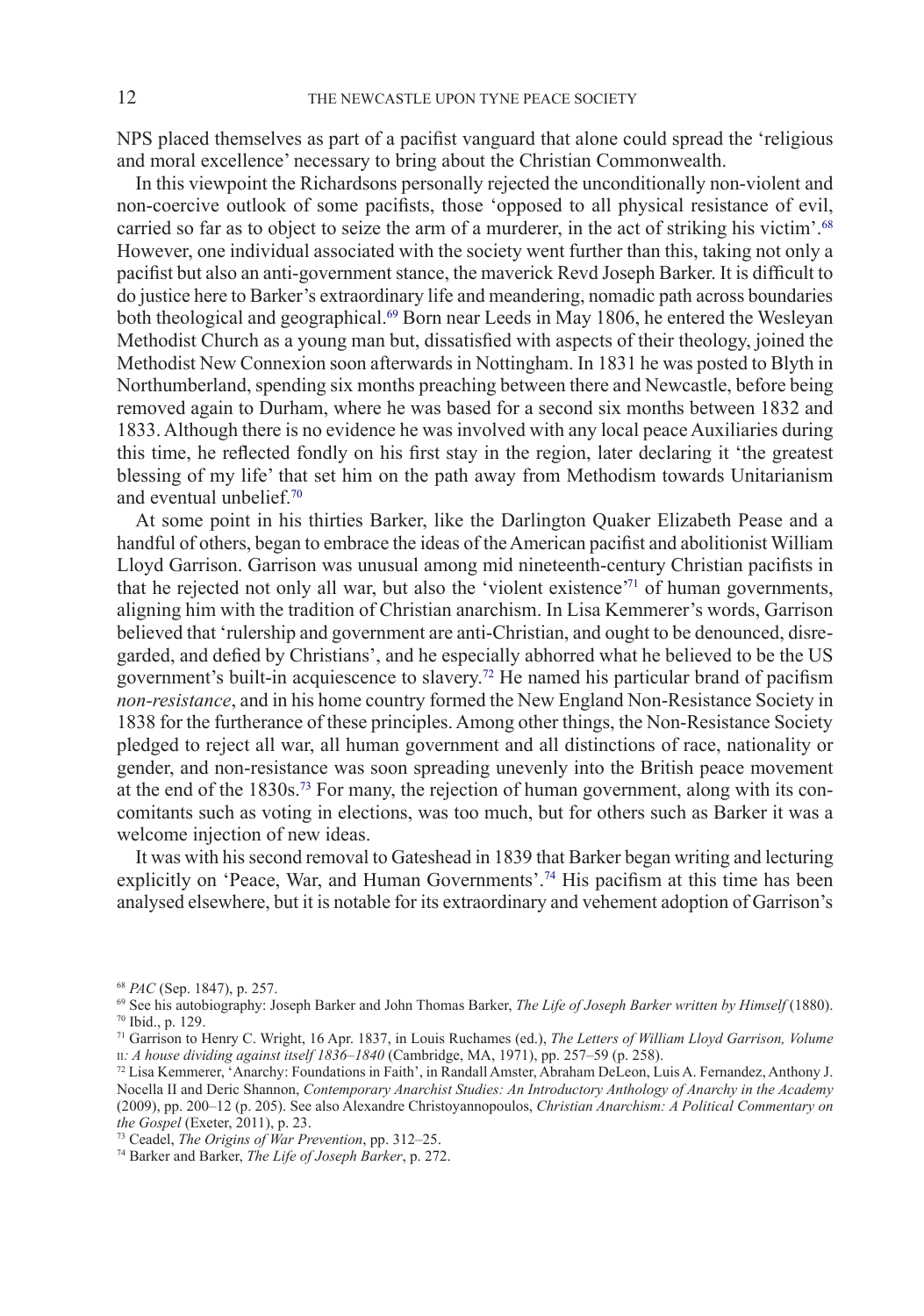NPS placed themselves as part of a pacifist vanguard that alone could spread the 'religious and moral excellence' necessary to bring about the Christian Commonwealth.

In this viewpoint the Richardsons personally rejected the unconditionally non-violent and non-coercive outlook of some pacifists, those 'opposed to all physical resistance of evil, carried so far as to object to seize the arm of a murderer, in the act of striking his victim'.<sup>[68](#page-12-0)</sup> However, one individual associated with the society went further than this, taking not only a pacifist but also an anti-government stance, the maverick Revd Joseph Barker. It is difficult to do justice here to Barker's extraordinary life and meandering, nomadic path across boundaries both theological and geographical.[69](#page-12-1) Born near Leeds in May 1806, he entered the Wesleyan Methodist Church as a young man but, dissatisfied with aspects of their theology, joined the Methodist New Connexion soon afterwards in Nottingham. In 1831 he was posted to Blyth in Northumberland, spending six months preaching between there and Newcastle, before being removed again to Durham, where he was based for a second six months between 1832 and 1833. Although there is no evidence he was involved with any local peace Auxiliaries during this time, he reflected fondly on his first stay in the region, later declaring it 'the greatest blessing of my life' that set him on the path away from Methodism towards Unitarianism and eventual unbelief $70$ 

At some point in his thirties Barker, like the Darlington Quaker Elizabeth Pease and a handful of others, began to embrace the ideas of the American pacifist and abolitionist William Lloyd Garrison. Garrison was unusual among mid nineteenth-century Christian pacifists in that he rejected not only all war, but also the 'violent existence'[71](#page-12-3) of human governments, aligning him with the tradition of Christian anarchism. In Lisa Kemmerer's words, Garrison believed that 'rulership and government are anti-Christian, and ought to be denounced, disregarded, and defied by Christians', and he especially abhorred what he believed to be the US government's built-in acquiescence to slavery.[72](#page-12-4) He named his particular brand of pacifism *non-resistance*, and in his home country formed the New England Non-Resistance Society in 1838 for the furtherance of these principles. Among other things, the Non-Resistance Society pledged to reject all war, all human government and all distinctions of race, nationality or gender, and non-resistance was soon spreading unevenly into the British peace movement at the end of the  $1830s$ .<sup>73</sup> For many, the rejection of human government, along with its concomitants such as voting in elections, was too much, but for others such as Barker it was a welcome injection of new ideas.

It was with his second removal to Gateshead in 1839 that Barker began writing and lecturing explicitly on 'Peace, War, and Human Governments'.<sup>[74](#page-12-6)</sup> His pacifism at this time has been analysed elsewhere, but it is notable for its extraordinary and vehement adoption of Garrison's

<span id="page-12-0"></span><sup>68</sup> *PAC* (Sep. 1847), p. 257.

<span id="page-12-2"></span><span id="page-12-1"></span><sup>69</sup> See his autobiography: Joseph Barker and John Thomas Barker, *The Life of Joseph Barker written by Himself* (1880). 70 Ibid., p. 129.

<span id="page-12-3"></span><sup>71</sup> Garrison to Henry C. Wright, 16 Apr. 1837, in Louis Ruchames (ed.), *The Letters of William Lloyd Garrison, Volume*  ii*: A house dividing against itself 1836–1840* (Cambridge, MA, 1971), pp. 257–59 (p. 258).

<span id="page-12-4"></span><sup>72</sup> Lisa Kemmerer, 'Anarchy: Foundations in Faith', in Randall Amster, Abraham DeLeon, Luis A. Fernandez, Anthony J. Nocella II and Deric Shannon, *Contemporary Anarchist Studies: An Introductory Anthology of Anarchy in the Academy* (2009), pp. 200–12 (p. 205). See also Alexandre Christoyannopoulos, *Christian Anarchism: A Political Commentary on the Gospel* (Exeter, 2011), p. 23.

<span id="page-12-5"></span><sup>73</sup> Ceadel, *The Origins of War Prevention*, pp. 312–25.

<span id="page-12-6"></span><sup>74</sup> Barker and Barker, *The Life of Joseph Barker*, p. 272.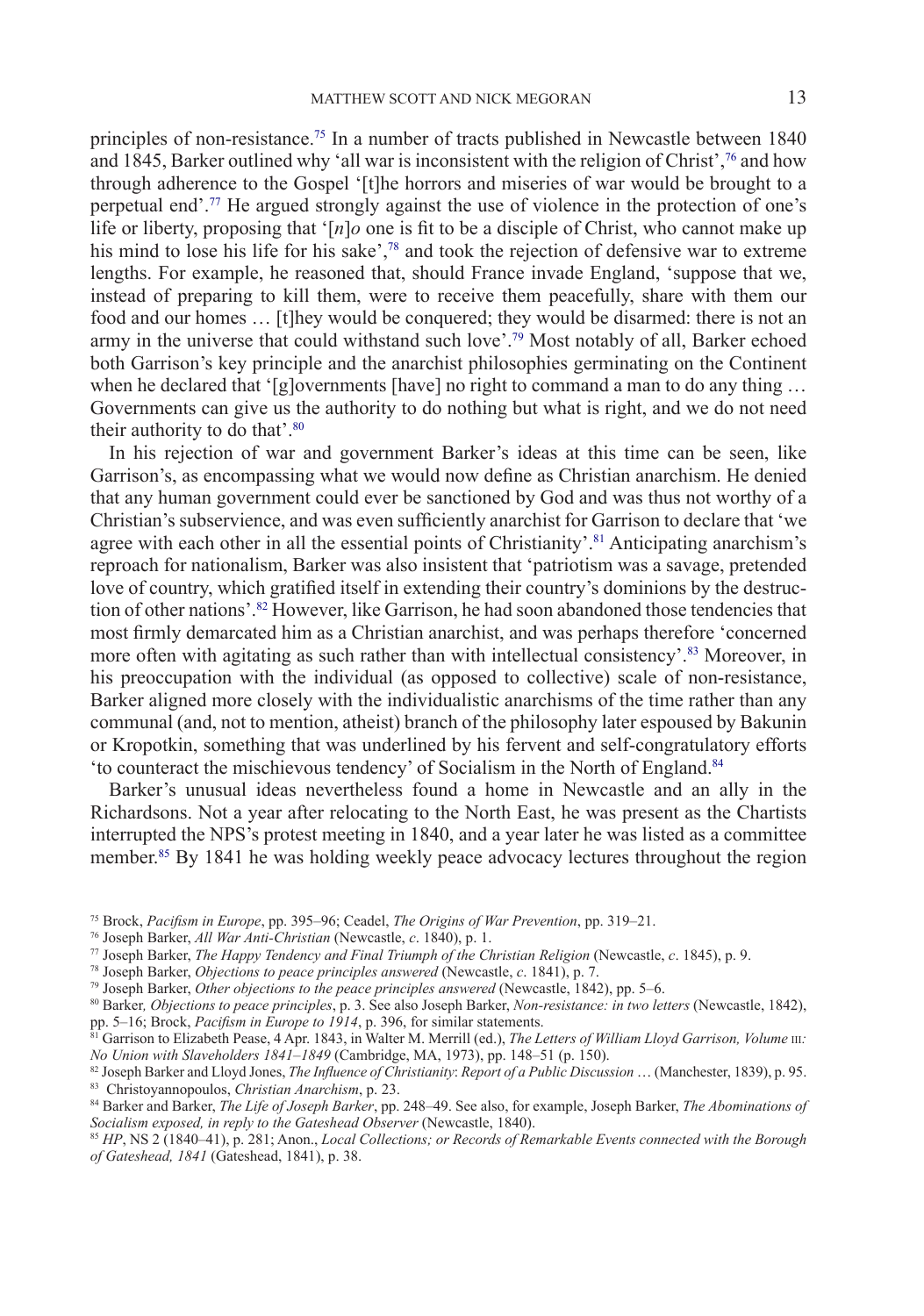principles of non-resistance.[75](#page-13-0) In a number of tracts published in Newcastle between 1840 and 1845, Barker outlined why 'all war is inconsistent with the religion of Christ',<sup>[76](#page-13-1)</sup> and how through adherence to the Gospel '[t]he horrors and miseries of war would be brought to a perpetual end'.[77](#page-13-2) He argued strongly against the use of violence in the protection of one's life or liberty, proposing that '[*n*]*o* one is fit to be a disciple of Christ, who cannot make up his mind to lose his life for his sake',<sup>[78](#page-13-3)</sup> and took the rejection of defensive war to extreme lengths. For example, he reasoned that, should France invade England, 'suppose that we, instead of preparing to kill them, were to receive them peacefully, share with them our food and our homes … [t]hey would be conquered; they would be disarmed: there is not an army in the universe that could withstand such love'.[79](#page-13-4) Most notably of all, Barker echoed both Garrison's key principle and the anarchist philosophies germinating on the Continent when he declared that '[g]overnments [have] no right to command a man to do any thing ... Governments can give us the authority to do nothing but what is right, and we do not need their authority to do that'.<sup>[80](#page-13-5)</sup>

In his rejection of war and government Barker's ideas at this time can be seen, like Garrison's, as encompassing what we would now define as Christian anarchism. He denied that any human government could ever be sanctioned by God and was thus not worthy of a Christian's subservience, and was even sufficiently anarchist for Garrison to declare that 'we agree with each other in all the essential points of Christianity'.<sup>[81](#page-13-6)</sup> Anticipating anarchism's reproach for nationalism, Barker was also insistent that 'patriotism was a savage, pretended love of country, which gratified itself in extending their country's dominions by the destruction of other nations'.[82](#page-13-7) However, like Garrison, he had soon abandoned those tendencies that most firmly demarcated him as a Christian anarchist, and was perhaps therefore 'concerned more often with agitating as such rather than with intellectual consistency'.<sup>[83](#page-13-8)</sup> Moreover, in his preoccupation with the individual (as opposed to collective) scale of non-resistance, Barker aligned more closely with the individualistic anarchisms of the time rather than any communal (and, not to mention, atheist) branch of the philosophy later espoused by Bakunin or Kropotkin, something that was underlined by his fervent and self-congratulatory efforts 'to counteract the mischievous tendency' of Socialism in the North of England.[84](#page-13-9)

Barker's unusual ideas nevertheless found a home in Newcastle and an ally in the Richardsons. Not a year after relocating to the North East, he was present as the Chartists interrupted the NPS's protest meeting in 1840, and a year later he was listed as a committee member.<sup>[85](#page-13-10)</sup> By 1841 he was holding weekly peace advocacy lectures throughout the region

<span id="page-13-2"></span><sup>77</sup> Joseph Barker, *The Happy Tendency and Final Triumph of the Christian Religion* (Newcastle, *c*. 1845), p. 9.

<span id="page-13-3"></span><sup>78</sup> Joseph Barker, *Objections to peace principles answered* (Newcastle, *c*. 1841), p. 7.

<span id="page-13-0"></span><sup>75</sup> Brock, *Pacifism in Europe*, pp. 395–96; Ceadel, *The Origins of War Prevention*, pp. 319–21.

<span id="page-13-1"></span><sup>76</sup> Joseph Barker, *All War Anti-Christian* (Newcastle, *c*. 1840), p. 1.

<span id="page-13-4"></span><sup>79</sup> Joseph Barker, *Other objections to the peace principles answered* (Newcastle, 1842), pp. 5–6.

<span id="page-13-5"></span><sup>80</sup> Barker*, Objections to peace principles*, p. 3. See also Joseph Barker, *Non-resistance: in two letters* (Newcastle, 1842), pp. 5–16; Brock, *Pacifism in Europe to 1914*, p. 396, for similar statements.

<span id="page-13-6"></span><sup>81</sup> Garrison to Elizabeth Pease, 4 Apr. 1843, in Walter M. Merrill (ed.), *The Letters of William Lloyd Garrison, Volume* iii*: No Union with Slaveholders 1841–1849* (Cambridge, MA, 1973), pp. 148–51 (p. 150).

<span id="page-13-8"></span><span id="page-13-7"></span><sup>82</sup> Joseph Barker and Lloyd Jones, *The Influence of Christianity*: *Report of a Public Discussion* … (Manchester, 1839), p. 95. 83 Christoyannopoulos, *Christian Anarchism*, p. 23.

<span id="page-13-9"></span><sup>84</sup> Barker and Barker, *The Life of Joseph Barker*, pp. 248–49. See also, for example, Joseph Barker, *The Abominations of Socialism exposed, in reply to the Gateshead Observer* (Newcastle, 1840).

<span id="page-13-10"></span><sup>85</sup> *HP*, NS 2 (1840–41), p. 281; Anon., *Local Collections; or Records of Remarkable Events connected with the Borough of Gateshead, 1841* (Gateshead, 1841), p. 38.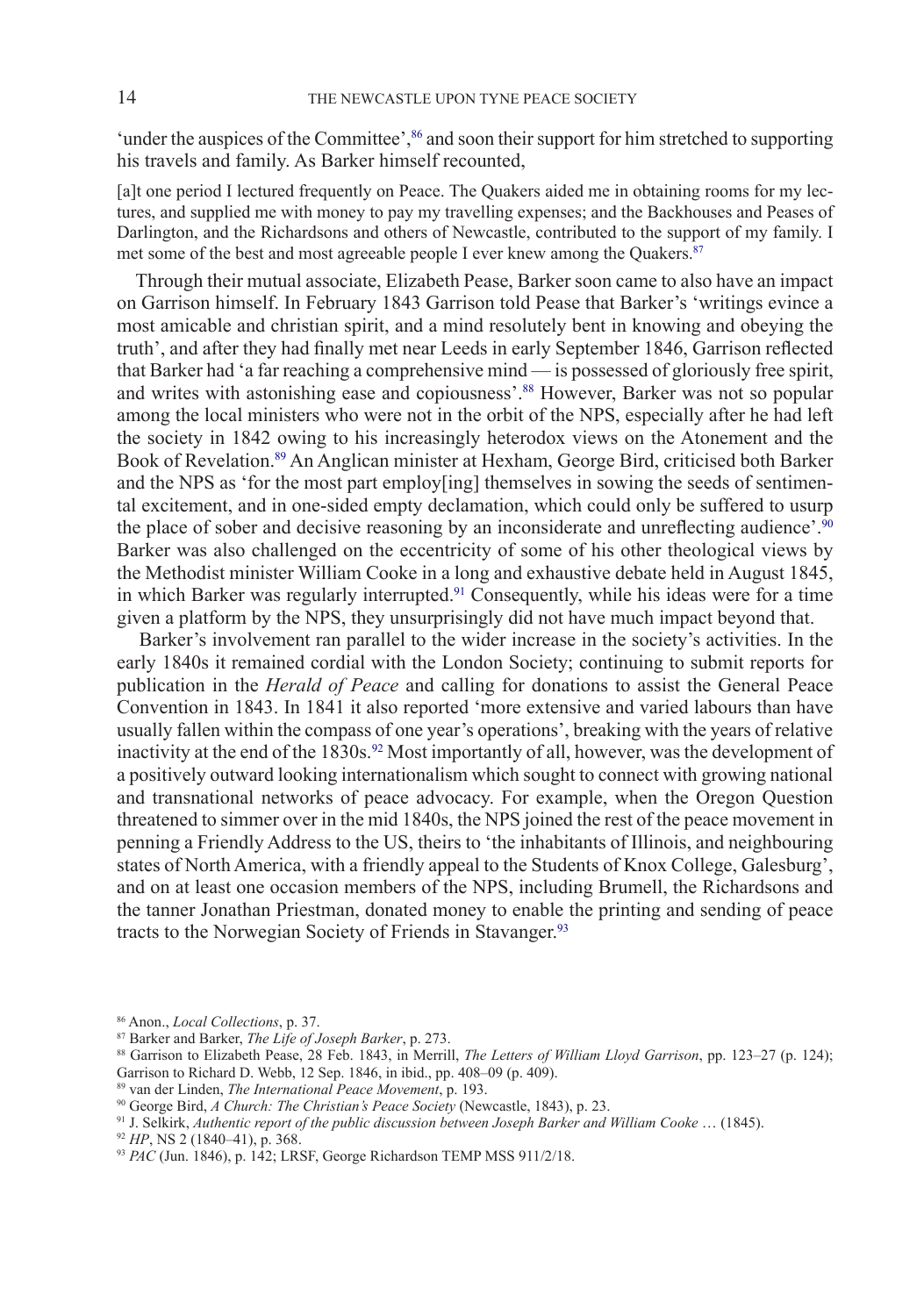'under the auspices of the Committee', $\frac{86}{5}$  and soon their support for him stretched to supporting his travels and family. As Barker himself recounted,

[a]t one period I lectured frequently on Peace. The Quakers aided me in obtaining rooms for my lectures, and supplied me with money to pay my travelling expenses; and the Backhouses and Peases of Darlington, and the Richardsons and others of Newcastle, contributed to the support of my family. I met some of the best and most agreeable people I ever knew among the Quakers.<sup>[87](#page-14-1)</sup>

Through their mutual associate, Elizabeth Pease, Barker soon came to also have an impact on Garrison himself. In February 1843 Garrison told Pease that Barker's 'writings evince a most amicable and christian spirit, and a mind resolutely bent in knowing and obeying the truth', and after they had finally met near Leeds in early September 1846, Garrison reflected that Barker had 'a far reaching a comprehensive mind — is possessed of gloriously free spirit, and writes with astonishing ease and copiousness'.[88](#page-14-2) However, Barker was not so popular among the local ministers who were not in the orbit of the NPS, especially after he had left the society in 1842 owing to his increasingly heterodox views on the Atonement and the Book of Revelation.[89](#page-14-3) An Anglican minister at Hexham, George Bird, criticised both Barker and the NPS as 'for the most part employ[ing] themselves in sowing the seeds of sentimental excitement, and in one-sided empty declamation, which could only be suffered to usurp the place of sober and decisive reasoning by an inconsiderate and unreflecting audience'.[90](#page-14-4) Barker was also challenged on the eccentricity of some of his other theological views by the Methodist minister William Cooke in a long and exhaustive debate held in August 1845, in which Barker was regularly interrupted.<sup>[91](#page-14-5)</sup> Consequently, while his ideas were for a time given a platform by the NPS, they unsurprisingly did not have much impact beyond that.

Barker's involvement ran parallel to the wider increase in the society's activities. In the early 1840s it remained cordial with the London Society; continuing to submit reports for publication in the *Herald of Peace* and calling for donations to assist the General Peace Convention in 1843. In 1841 it also reported 'more extensive and varied labours than have usually fallen within the compass of one year's operations', breaking with the years of relative inactivity at the end of the 1830s.<sup>[92](#page-14-6)</sup> Most importantly of all, however, was the development of a positively outward looking internationalism which sought to connect with growing national and transnational networks of peace advocacy. For example, when the Oregon Question threatened to simmer over in the mid 1840s, the NPS joined the rest of the peace movement in penning a Friendly Address to the US, theirs to 'the inhabitants of Illinois, and neighbouring states of North America, with a friendly appeal to the Students of Knox College, Galesburg', and on at least one occasion members of the NPS, including Brumell, the Richardsons and the tanner Jonathan Priestman, donated money to enable the printing and sending of peace tracts to the Norwegian Society of Friends in Stavanger.<sup>[93](#page-14-7)</sup>

<span id="page-14-0"></span><sup>86</sup> Anon., *Local Collections*, p. 37.

<span id="page-14-1"></span><sup>87</sup> Barker and Barker, *The Life of Joseph Barker*, p. 273.

<span id="page-14-2"></span><sup>88</sup> Garrison to Elizabeth Pease, 28 Feb. 1843, in Merrill, *The Letters of William Lloyd Garrison*, pp. 123–27 (p. 124); Garrison to Richard D. Webb, 12 Sep. 1846, in ibid., pp. 408–09 (p. 409).

<span id="page-14-3"></span><sup>89</sup> van der Linden, *The International Peace Movement*, p. 193.

<span id="page-14-4"></span><sup>90</sup> George Bird, *A Church: The Christian's Peace Society* (Newcastle, 1843), p. 23.

<span id="page-14-5"></span><sup>91</sup> J. Selkirk, *Authentic report of the public discussion between Joseph Barker and William Cooke* … (1845).

<span id="page-14-6"></span><sup>92</sup> *HP*, NS 2 (1840–41), p. 368.

<span id="page-14-7"></span><sup>93</sup> *PAC* (Jun. 1846), p. 142; LRSF, George Richardson TEMP MSS 911/2/18.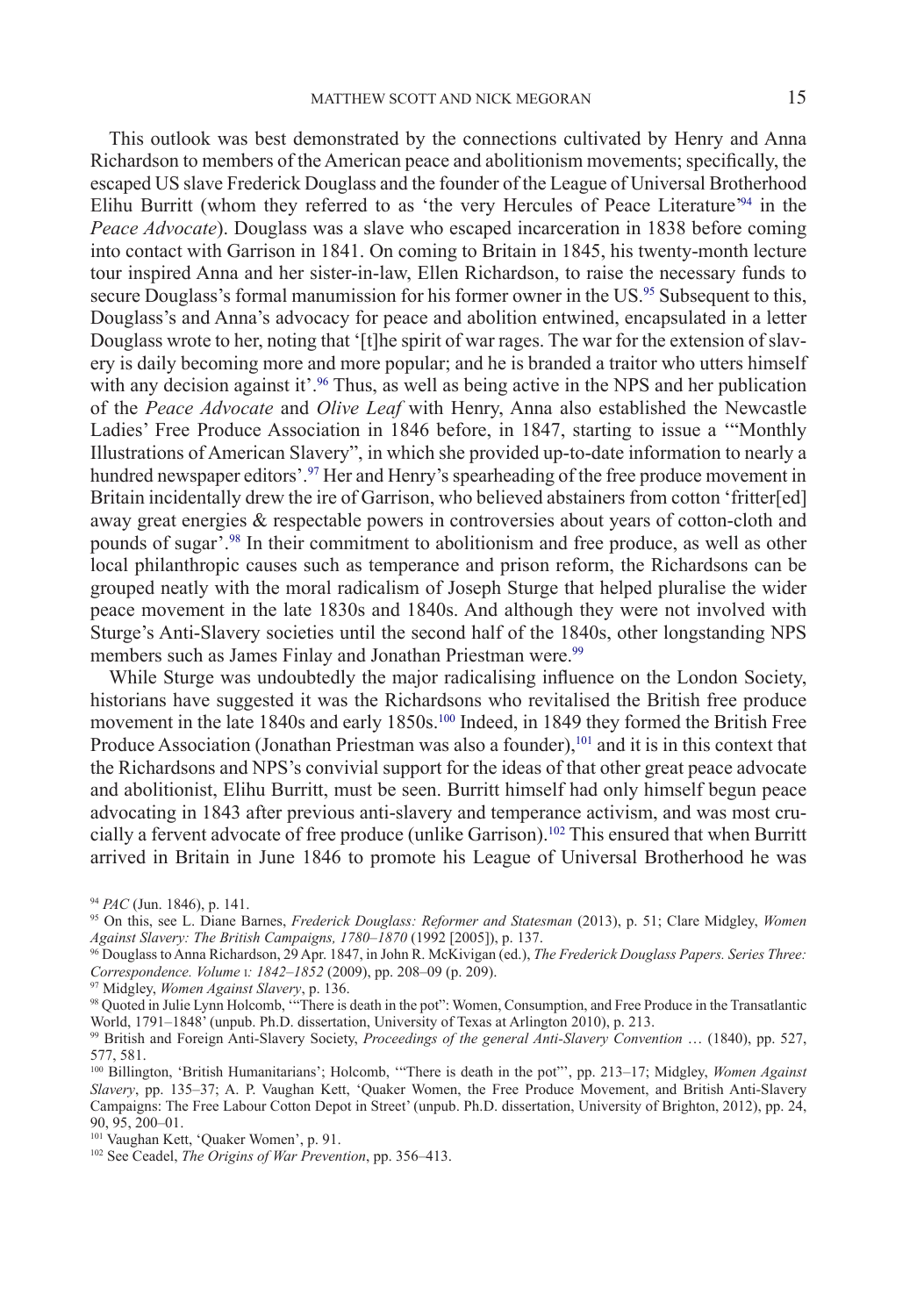This outlook was best demonstrated by the connections cultivated by Henry and Anna Richardson to members of the American peace and abolitionism movements; specifically, the escaped US slave Frederick Douglass and the founder of the League of Universal Brotherhood Elihu Burritt (whom they referred to as 'the very Hercules of Peace Literature'[94](#page-15-0) in the *Peace Advocate*). Douglass was a slave who escaped incarceration in 1838 before coming into contact with Garrison in 1841. On coming to Britain in 1845, his twenty-month lecture tour inspired Anna and her sister-in-law, Ellen Richardson, to raise the necessary funds to secure Douglass's formal manumission for his former owner in the US.<sup>[95](#page-15-1)</sup> Subsequent to this, Douglass's and Anna's advocacy for peace and abolition entwined, encapsulated in a letter Douglass wrote to her, noting that '[t]he spirit of war rages. The war for the extension of slavery is daily becoming more and more popular; and he is branded a traitor who utters himself with any decision against it'.<sup>[96](#page-15-2)</sup> Thus, as well as being active in the NPS and her publication of the *Peace Advocate* and *Olive Leaf* with Henry, Anna also established the Newcastle Ladies' Free Produce Association in 1846 before, in 1847, starting to issue a '"Monthly Illustrations of American Slavery", in which she provided up-to-date information to nearly a hundred newspaper editors'.<sup>[97](#page-15-3)</sup> Her and Henry's spearheading of the free produce movement in Britain incidentally drew the ire of Garrison, who believed abstainers from cotton 'fritter[ed] away great energies & respectable powers in controversies about years of cotton-cloth and pounds of sugar'.[98](#page-15-4) In their commitment to abolitionism and free produce, as well as other local philanthropic causes such as temperance and prison reform, the Richardsons can be grouped neatly with the moral radicalism of Joseph Sturge that helped pluralise the wider peace movement in the late 1830s and 1840s. And although they were not involved with Sturge's Anti-Slavery societies until the second half of the 1840s, other longstanding NPS members such as James Finlay and Jonathan Priestman were.<sup>[99](#page-15-5)</sup>

While Sturge was undoubtedly the major radicalising influence on the London Society, historians have suggested it was the Richardsons who revitalised the British free produce movement in the late 1840s and early 1850s.<sup>100</sup> Indeed, in 1849 they formed the British Free Produce Association (Jonathan Priestman was also a founder),<sup>101</sup> and it is in this context that the Richardsons and NPS's convivial support for the ideas of that other great peace advocate and abolitionist, Elihu Burritt, must be seen. Burritt himself had only himself begun peace advocating in 1843 after previous anti-slavery and temperance activism, and was most crucially a fervent advocate of free produce (unlike Garrison).<sup>102</sup> This ensured that when Burritt arrived in Britain in June 1846 to promote his League of Universal Brotherhood he was

<span id="page-15-0"></span><sup>94</sup> *PAC* (Jun. 1846), p. 141.

<span id="page-15-1"></span><sup>95</sup> On this, see L. Diane Barnes, *Frederick Douglass: Reformer and Statesman* (2013), p. 51; Clare Midgley, *Women Against Slavery: The British Campaigns, 1780–1870* (1992 [2005]), p. 137.

<span id="page-15-2"></span><sup>96</sup> Douglass to Anna Richardson, 29 Apr. 1847, in John R. McKivigan (ed.), *The Frederick Douglass Papers. Series Three: Correspondence. Volume* i*: 1842–1852* (2009), pp. 208–09 (p. 209).

<span id="page-15-3"></span><sup>97</sup> Midgley, *Women Against Slavery*, p. 136.

<span id="page-15-4"></span><sup>98</sup> Quoted in Julie Lynn Holcomb, '"There is death in the pot": Women, Consumption, and Free Produce in the Transatlantic World, 1791–1848' (unpub. Ph.D. dissertation, University of Texas at Arlington 2010), p. 213.

<span id="page-15-5"></span><sup>99</sup> British and Foreign Anti-Slavery Society, *Proceedings of the general Anti-Slavery Convention* … (1840), pp. 527, 577, 581.

<span id="page-15-6"></span><sup>100</sup> Billington, 'British Humanitarians'; Holcomb, '"There is death in the pot"', pp. 213–17; Midgley, *Women Against Slavery*, pp. 135–37; A. P. Vaughan Kett, 'Quaker Women, the Free Produce Movement, and British Anti-Slavery Campaigns: The Free Labour Cotton Depot in Street' (unpub. Ph.D. dissertation, University of Brighton, 2012), pp. 24, 90, 95, 200–01.

<span id="page-15-7"></span><sup>101</sup> Vaughan Kett, 'Quaker Women', p. 91.

<span id="page-15-8"></span><sup>102</sup> See Ceadel, *The Origins of War Prevention*, pp. 356–413.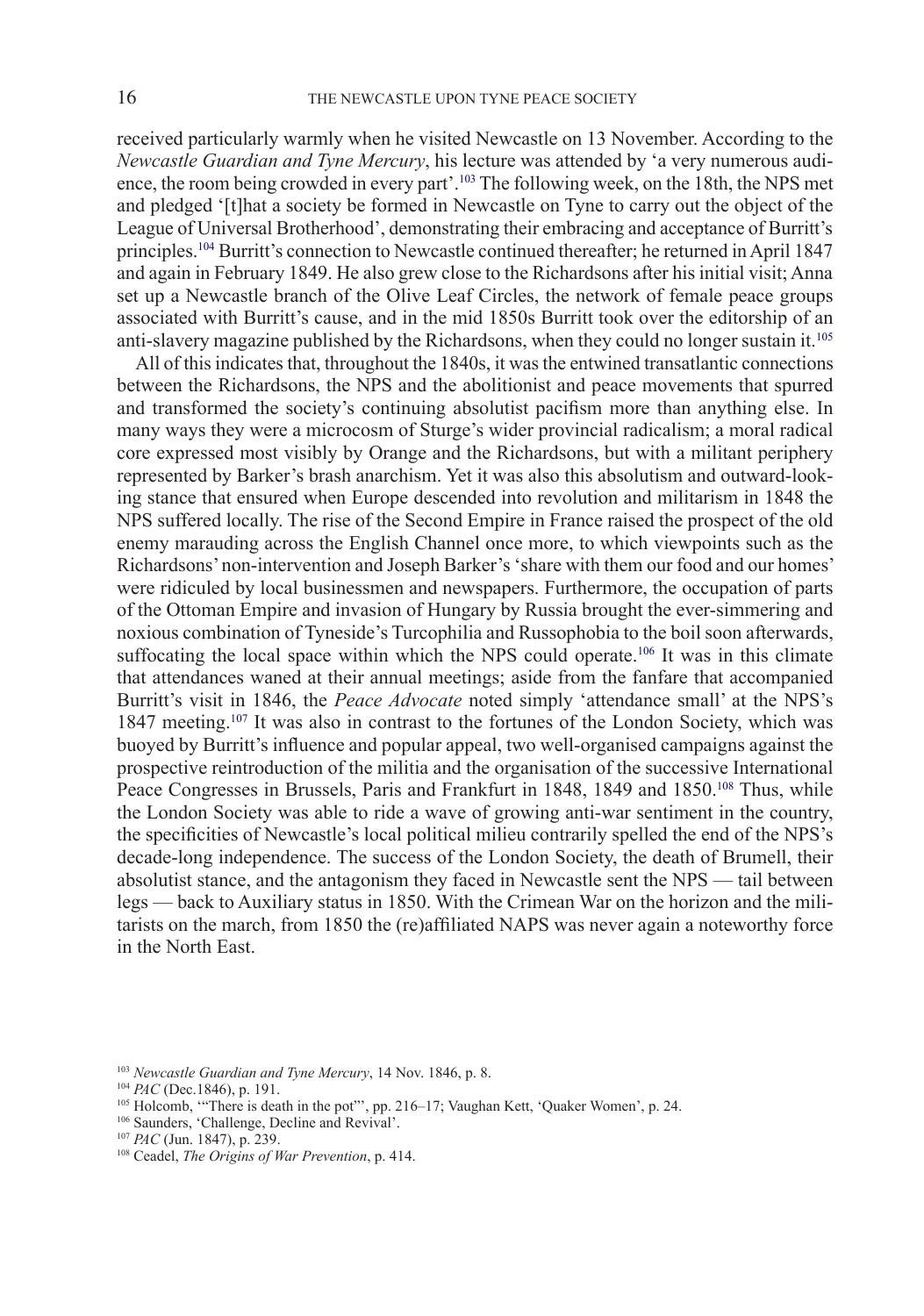received particularly warmly when he visited Newcastle on 13 November. According to the *Newcastle Guardian and Tyne Mercury*, his lecture was attended by 'a very numerous audience, the room being crowded in every part'.[103](#page-16-0) The following week, on the 18th, the NPS met and pledged '[t]hat a society be formed in Newcastle on Tyne to carry out the object of the League of Universal Brotherhood', demonstrating their embracing and acceptance of Burritt's principles.[104](#page-16-1) Burritt's connection to Newcastle continued thereafter; he returned in April 1847 and again in February 1849. He also grew close to the Richardsons after his initial visit; Anna set up a Newcastle branch of the Olive Leaf Circles, the network of female peace groups associated with Burritt's cause, and in the mid 1850s Burritt took over the editorship of an anti-slavery magazine published by the Richardsons, when they could no longer sustain it.[105](#page-16-2)

All of this indicates that, throughout the 1840s, it was the entwined transatlantic connections between the Richardsons, the NPS and the abolitionist and peace movements that spurred and transformed the society's continuing absolutist pacifism more than anything else. In many ways they were a microcosm of Sturge's wider provincial radicalism; a moral radical core expressed most visibly by Orange and the Richardsons, but with a militant periphery represented by Barker's brash anarchism. Yet it was also this absolutism and outward-looking stance that ensured when Europe descended into revolution and militarism in 1848 the NPS suffered locally. The rise of the Second Empire in France raised the prospect of the old enemy marauding across the English Channel once more, to which viewpoints such as the Richardsons' non-intervention and Joseph Barker's 'share with them our food and our homes' were ridiculed by local businessmen and newspapers. Furthermore, the occupation of parts of the Ottoman Empire and invasion of Hungary by Russia brought the ever-simmering and noxious combination of Tyneside's Turcophilia and Russophobia to the boil soon afterwards, suffocating the local space within which the NPS could operate.<sup>106</sup> It was in this climate that attendances waned at their annual meetings; aside from the fanfare that accompanied Burritt's visit in 1846, the *Peace Advocate* noted simply 'attendance small' at the NPS's 1847 meeting[.107](#page-16-4) It was also in contrast to the fortunes of the London Society, which was buoyed by Burritt's influence and popular appeal, two well-organised campaigns against the prospective reintroduction of the militia and the organisation of the successive International Peace Congresses in Brussels, Paris and Frankfurt in 1848, 1849 and 1850.<sup>[108](#page-16-5)</sup> Thus, while the London Society was able to ride a wave of growing anti-war sentiment in the country, the specificities of Newcastle's local political milieu contrarily spelled the end of the NPS's decade-long independence. The success of the London Society, the death of Brumell, their absolutist stance, and the antagonism they faced in Newcastle sent the NPS — tail between legs — back to Auxiliary status in 1850. With the Crimean War on the horizon and the militarists on the march, from 1850 the (re)affiliated NAPS was never again a noteworthy force in the North East.

<span id="page-16-0"></span><sup>103</sup> *Newcastle Guardian and Tyne Mercury*, 14 Nov. 1846, p. 8.

<span id="page-16-1"></span><sup>104</sup> *PAC* (Dec.1846), p. 191.

<span id="page-16-2"></span><sup>105</sup> Holcomb, '"There is death in the pot"', pp. 216–17; Vaughan Kett, 'Quaker Women', p. 24.

<span id="page-16-3"></span><sup>106</sup> Saunders, 'Challenge, Decline and Revival'.

<span id="page-16-4"></span><sup>107</sup> *PAC* (Jun. 1847), p. 239.

<span id="page-16-5"></span><sup>108</sup> Ceadel, *The Origins of War Prevention*, p. 414.